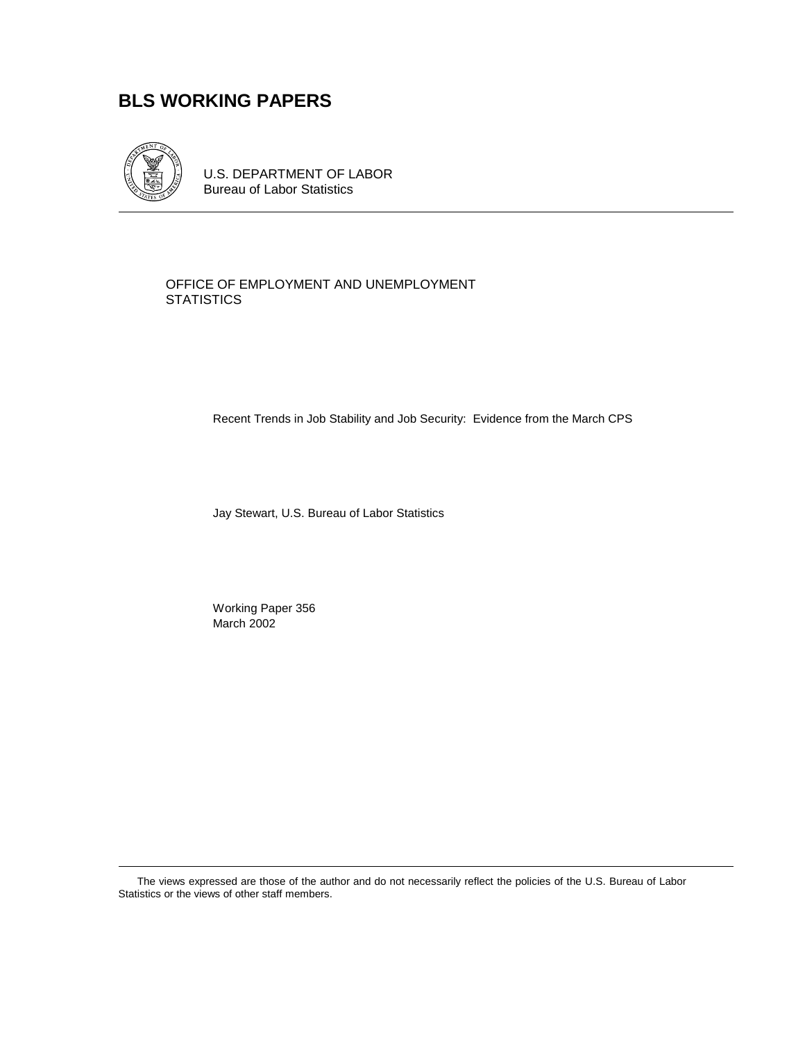# **BLS WORKING PAPERS**



U.S. DEPARTMENT OF LABOR Bureau of Labor Statistics

#### OFFICE OF EMPLOYMENT AND UNEMPLOYMENT **STATISTICS**

Recent Trends in Job Stability and Job Security: Evidence from the March CPS

Jay Stewart, U.S. Bureau of Labor Statistics

Working Paper 356 March 2002

The views expressed are those of the author and do not necessarily reflect the policies of the U.S. Bureau of Labor Statistics or the views of other staff members.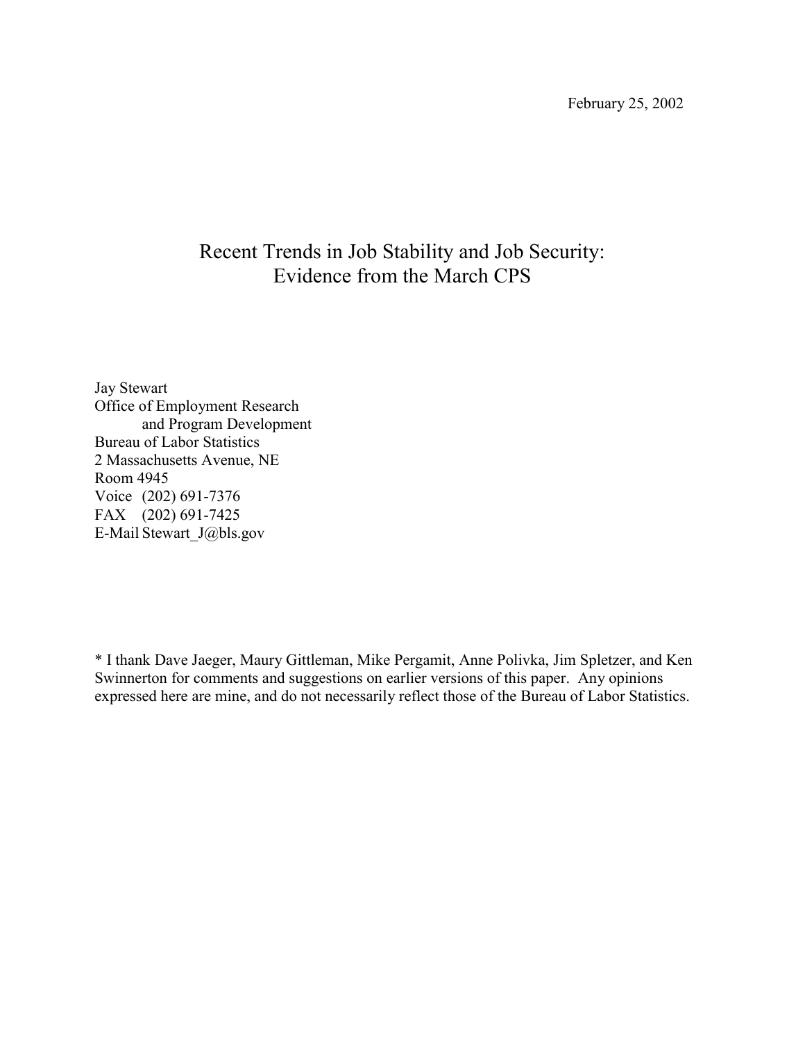# Recent Trends in Job Stability and Job Security: Evidence from the March CPS

Jay Stewart Office of Employment Research and Program Development Bureau of Labor Statistics 2 Massachusetts Avenue, NE Room 4945 Voice (202) 691-7376 FAX (202) 691-7425 E-Mail Stewart\_J@bls.gov

\* I thank Dave Jaeger, Maury Gittleman, Mike Pergamit, Anne Polivka, Jim Spletzer, and Ken Swinnerton for comments and suggestions on earlier versions of this paper. Any opinions expressed here are mine, and do not necessarily reflect those of the Bureau of Labor Statistics.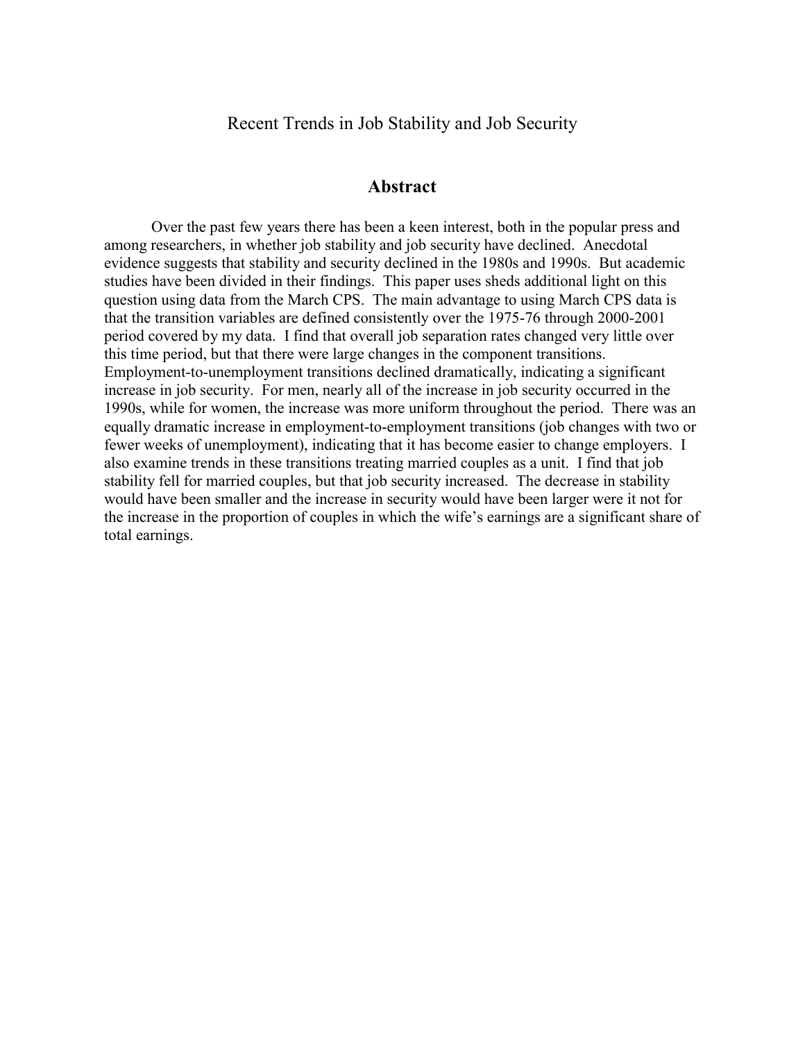Recent Trends in Job Stability and Job Security

## **Abstract**

Over the past few years there has been a keen interest, both in the popular press and among researchers, in whether job stability and job security have declined. Anecdotal evidence suggests that stability and security declined in the 1980s and 1990s. But academic studies have been divided in their findings. This paper uses sheds additional light on this question using data from the March CPS. The main advantage to using March CPS data is that the transition variables are defined consistently over the 1975-76 through 2000-2001 period covered by my data. I find that overall job separation rates changed very little over this time period, but that there were large changes in the component transitions. Employment-to-unemployment transitions declined dramatically, indicating a significant increase in job security. For men, nearly all of the increase in job security occurred in the 1990s, while for women, the increase was more uniform throughout the period. There was an equally dramatic increase in employment-to-employment transitions (job changes with two or fewer weeks of unemployment), indicating that it has become easier to change employers. I also examine trends in these transitions treating married couples as a unit. I find that job stability fell for married couples, but that job security increased. The decrease in stability would have been smaller and the increase in security would have been larger were it not for the increase in the proportion of couples in which the wife's earnings are a significant share of total earnings.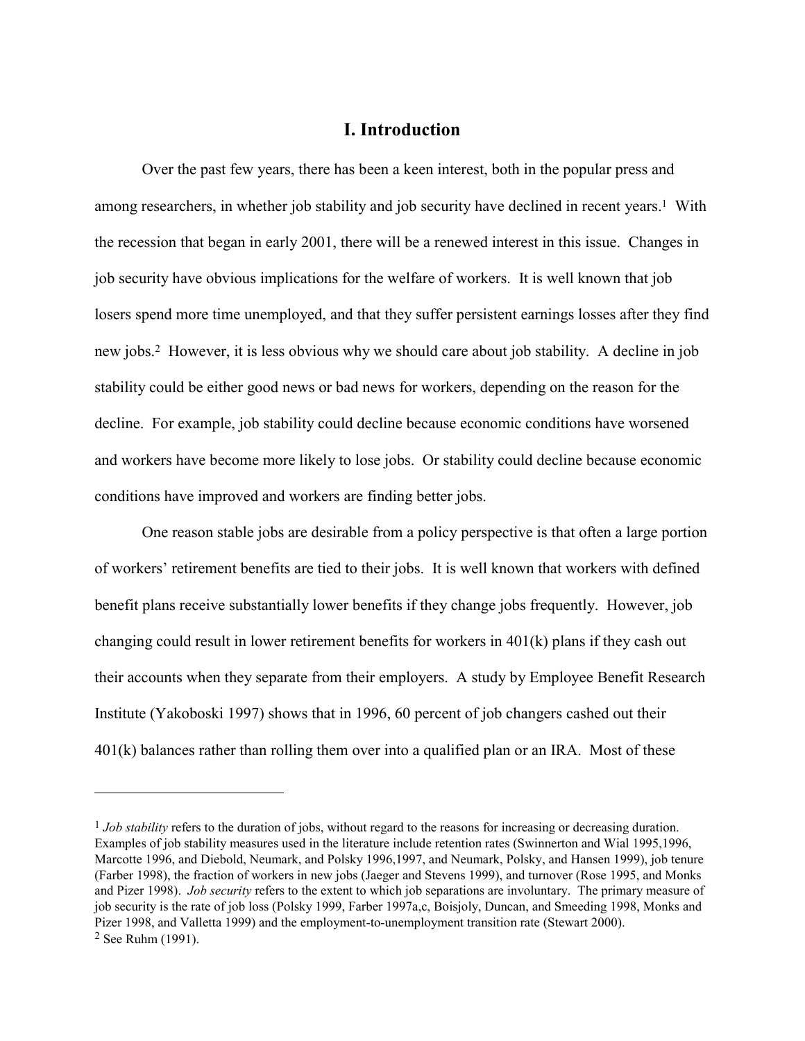## **I. Introduction**

Over the past few years, there has been a keen interest, both in the popular press and among researchers, in whether job stability and job security have declined in recent years.1 With the recession that began in early 2001, there will be a renewed interest in this issue. Changes in job security have obvious implications for the welfare of workers. It is well known that job losers spend more time unemployed, and that they suffer persistent earnings losses after they find new jobs.2 However, it is less obvious why we should care about job stability. A decline in job stability could be either good news or bad news for workers, depending on the reason for the decline. For example, job stability could decline because economic conditions have worsened and workers have become more likely to lose jobs. Or stability could decline because economic conditions have improved and workers are finding better jobs.

One reason stable jobs are desirable from a policy perspective is that often a large portion of workers' retirement benefits are tied to their jobs. It is well known that workers with defined benefit plans receive substantially lower benefits if they change jobs frequently. However, job changing could result in lower retirement benefits for workers in  $401(k)$  plans if they cash out their accounts when they separate from their employers. A study by Employee Benefit Research Institute (Yakoboski 1997) shows that in 1996, 60 percent of job changers cashed out their 401(k) balances rather than rolling them over into a qualified plan or an IRA. Most of these

<sup>&</sup>lt;sup>1</sup> *Job stability* refers to the duration of jobs, without regard to the reasons for increasing or decreasing duration. Examples of job stability measures used in the literature include retention rates (Swinnerton and Wial 1995,1996, Marcotte 1996, and Diebold, Neumark, and Polsky 1996,1997, and Neumark, Polsky, and Hansen 1999), job tenure (Farber 1998), the fraction of workers in new jobs (Jaeger and Stevens 1999), and turnover (Rose 1995, and Monks and Pizer 1998). *Job security* refers to the extent to which job separations are involuntary. The primary measure of job security is the rate of job loss (Polsky 1999, Farber 1997a,c, Boisjoly, Duncan, and Smeeding 1998, Monks and Pizer 1998, and Valletta 1999) and the employment-to-unemployment transition rate (Stewart 2000). 2 See Ruhm (1991).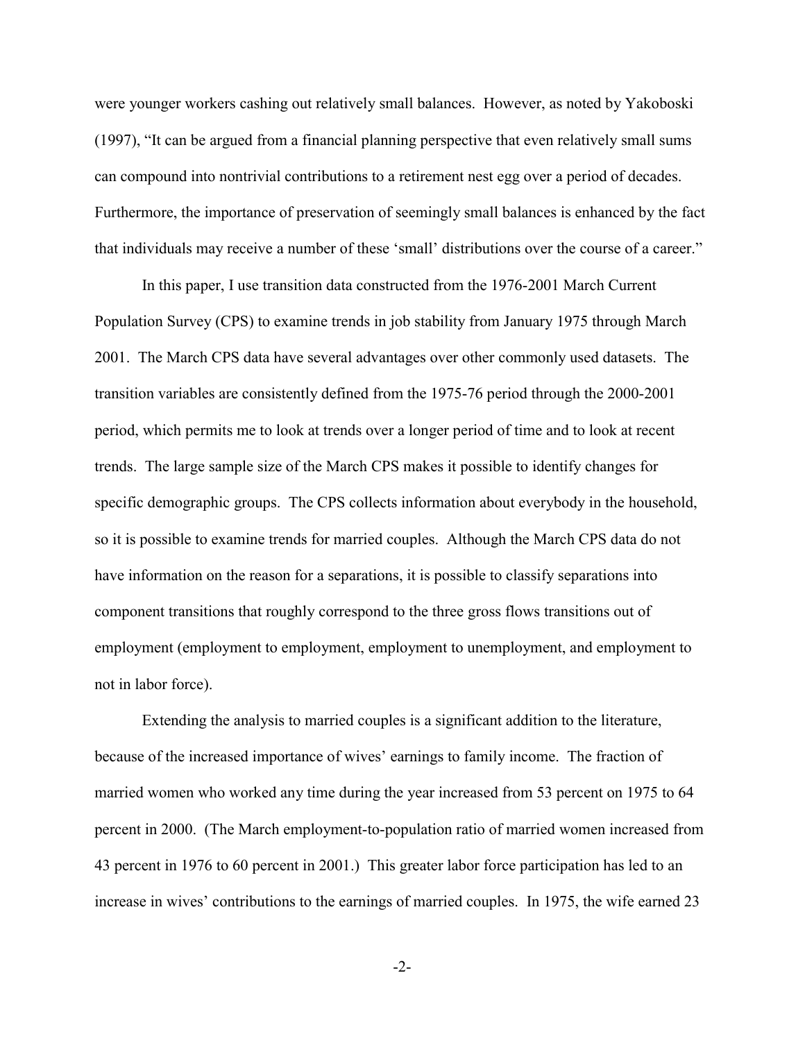were younger workers cashing out relatively small balances. However, as noted by Yakoboski (1997), "It can be argued from a financial planning perspective that even relatively small sums can compound into nontrivial contributions to a retirement nest egg over a period of decades. Furthermore, the importance of preservation of seemingly small balances is enhanced by the fact that individuals may receive a number of these 'small' distributions over the course of a career."

In this paper, I use transition data constructed from the 1976-2001 March Current Population Survey (CPS) to examine trends in job stability from January 1975 through March 2001. The March CPS data have several advantages over other commonly used datasets. The transition variables are consistently defined from the 1975-76 period through the 2000-2001 period, which permits me to look at trends over a longer period of time and to look at recent trends. The large sample size of the March CPS makes it possible to identify changes for specific demographic groups. The CPS collects information about everybody in the household, so it is possible to examine trends for married couples. Although the March CPS data do not have information on the reason for a separations, it is possible to classify separations into component transitions that roughly correspond to the three gross flows transitions out of employment (employment to employment, employment to unemployment, and employment to not in labor force).

Extending the analysis to married couples is a significant addition to the literature, because of the increased importance of wives' earnings to family income. The fraction of married women who worked any time during the year increased from 53 percent on 1975 to 64 percent in 2000. (The March employment-to-population ratio of married women increased from 43 percent in 1976 to 60 percent in 2001.) This greater labor force participation has led to an increase in wives' contributions to the earnings of married couples. In 1975, the wife earned 23

-2-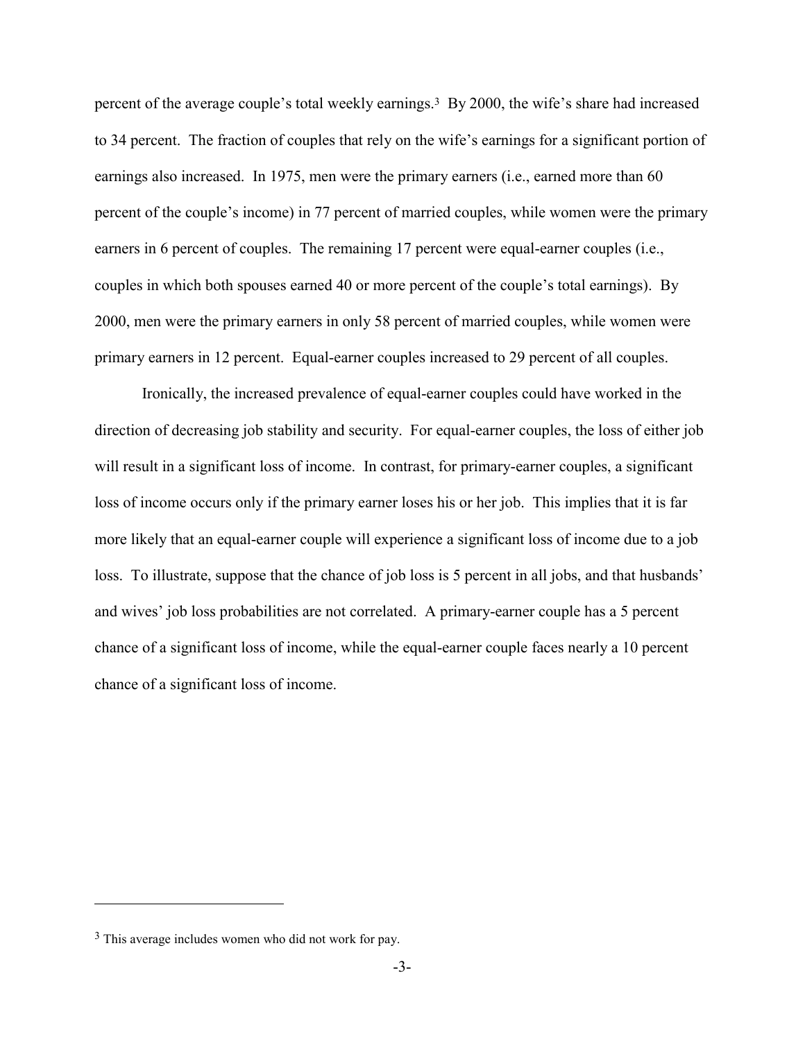percent of the average couple's total weekly earnings.3 By 2000, the wife's share had increased to 34 percent. The fraction of couples that rely on the wife's earnings for a significant portion of earnings also increased. In 1975, men were the primary earners (i.e., earned more than 60 percent of the couple's income) in 77 percent of married couples, while women were the primary earners in 6 percent of couples. The remaining 17 percent were equal-earner couples (i.e., couples in which both spouses earned 40 or more percent of the couple's total earnings). By 2000, men were the primary earners in only 58 percent of married couples, while women were primary earners in 12 percent. Equal-earner couples increased to 29 percent of all couples.

Ironically, the increased prevalence of equal-earner couples could have worked in the direction of decreasing job stability and security. For equal-earner couples, the loss of either job will result in a significant loss of income. In contrast, for primary-earner couples, a significant loss of income occurs only if the primary earner loses his or her job. This implies that it is far more likely that an equal-earner couple will experience a significant loss of income due to a job loss. To illustrate, suppose that the chance of job loss is 5 percent in all jobs, and that husbands' and wives' job loss probabilities are not correlated. A primary-earner couple has a 5 percent chance of a significant loss of income, while the equal-earner couple faces nearly a 10 percent chance of a significant loss of income.

<sup>3</sup> This average includes women who did not work for pay.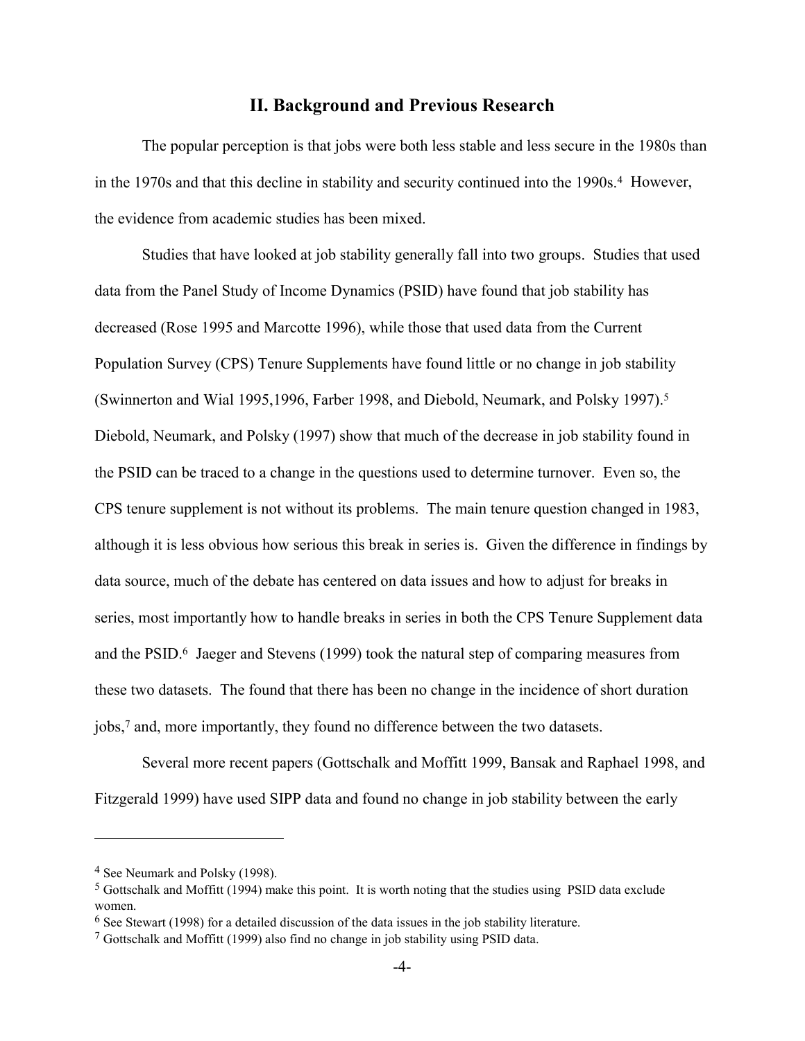### **II. Background and Previous Research**

The popular perception is that jobs were both less stable and less secure in the 1980s than in the 1970s and that this decline in stability and security continued into the 1990s.<sup>4</sup> However, the evidence from academic studies has been mixed.

Studies that have looked at job stability generally fall into two groups. Studies that used data from the Panel Study of Income Dynamics (PSID) have found that job stability has decreased (Rose 1995 and Marcotte 1996), while those that used data from the Current Population Survey (CPS) Tenure Supplements have found little or no change in job stability (Swinnerton and Wial 1995,1996, Farber 1998, and Diebold, Neumark, and Polsky 1997).5 Diebold, Neumark, and Polsky (1997) show that much of the decrease in job stability found in the PSID can be traced to a change in the questions used to determine turnover. Even so, the CPS tenure supplement is not without its problems. The main tenure question changed in 1983, although it is less obvious how serious this break in series is. Given the difference in findings by data source, much of the debate has centered on data issues and how to adjust for breaks in series, most importantly how to handle breaks in series in both the CPS Tenure Supplement data and the PSID.6 Jaeger and Stevens (1999) took the natural step of comparing measures from these two datasets. The found that there has been no change in the incidence of short duration jobs,7 and, more importantly, they found no difference between the two datasets.

Several more recent papers (Gottschalk and Moffitt 1999, Bansak and Raphael 1998, and Fitzgerald 1999) have used SIPP data and found no change in job stability between the early

1

<sup>4</sup> See Neumark and Polsky (1998).

<sup>5</sup> Gottschalk and Moffitt (1994) make this point. It is worth noting that the studies using PSID data exclude women.

<sup>6</sup> See Stewart (1998) for a detailed discussion of the data issues in the job stability literature.

<sup>7</sup> Gottschalk and Moffitt (1999) also find no change in job stability using PSID data.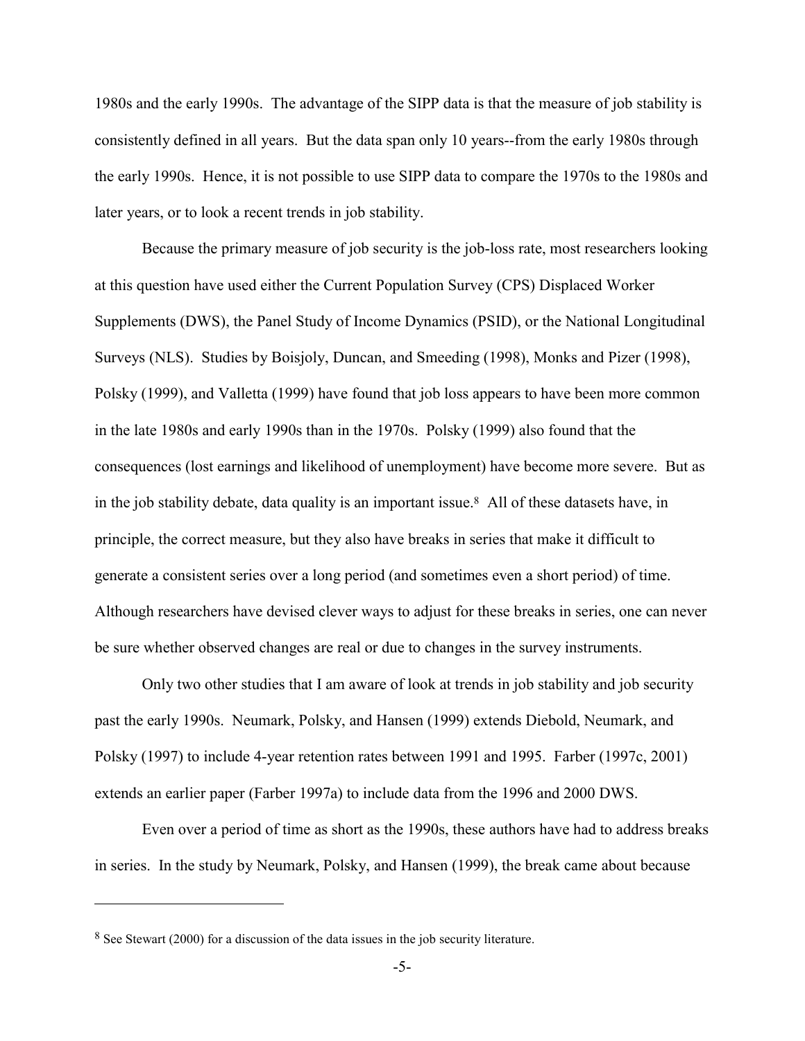1980s and the early 1990s. The advantage of the SIPP data is that the measure of job stability is consistently defined in all years. But the data span only 10 years--from the early 1980s through the early 1990s. Hence, it is not possible to use SIPP data to compare the 1970s to the 1980s and later years, or to look a recent trends in job stability.

Because the primary measure of job security is the job-loss rate, most researchers looking at this question have used either the Current Population Survey (CPS) Displaced Worker Supplements (DWS), the Panel Study of Income Dynamics (PSID), or the National Longitudinal Surveys (NLS). Studies by Boisjoly, Duncan, and Smeeding (1998), Monks and Pizer (1998), Polsky (1999), and Valletta (1999) have found that job loss appears to have been more common in the late 1980s and early 1990s than in the 1970s. Polsky (1999) also found that the consequences (lost earnings and likelihood of unemployment) have become more severe. But as in the job stability debate, data quality is an important issue.<sup>8</sup> All of these datasets have, in principle, the correct measure, but they also have breaks in series that make it difficult to generate a consistent series over a long period (and sometimes even a short period) of time. Although researchers have devised clever ways to adjust for these breaks in series, one can never be sure whether observed changes are real or due to changes in the survey instruments.

Only two other studies that I am aware of look at trends in job stability and job security past the early 1990s. Neumark, Polsky, and Hansen (1999) extends Diebold, Neumark, and Polsky (1997) to include 4-year retention rates between 1991 and 1995. Farber (1997c, 2001) extends an earlier paper (Farber 1997a) to include data from the 1996 and 2000 DWS.

Even over a period of time as short as the 1990s, these authors have had to address breaks in series. In the study by Neumark, Polsky, and Hansen (1999), the break came about because

<sup>8</sup> See Stewart (2000) for a discussion of the data issues in the job security literature.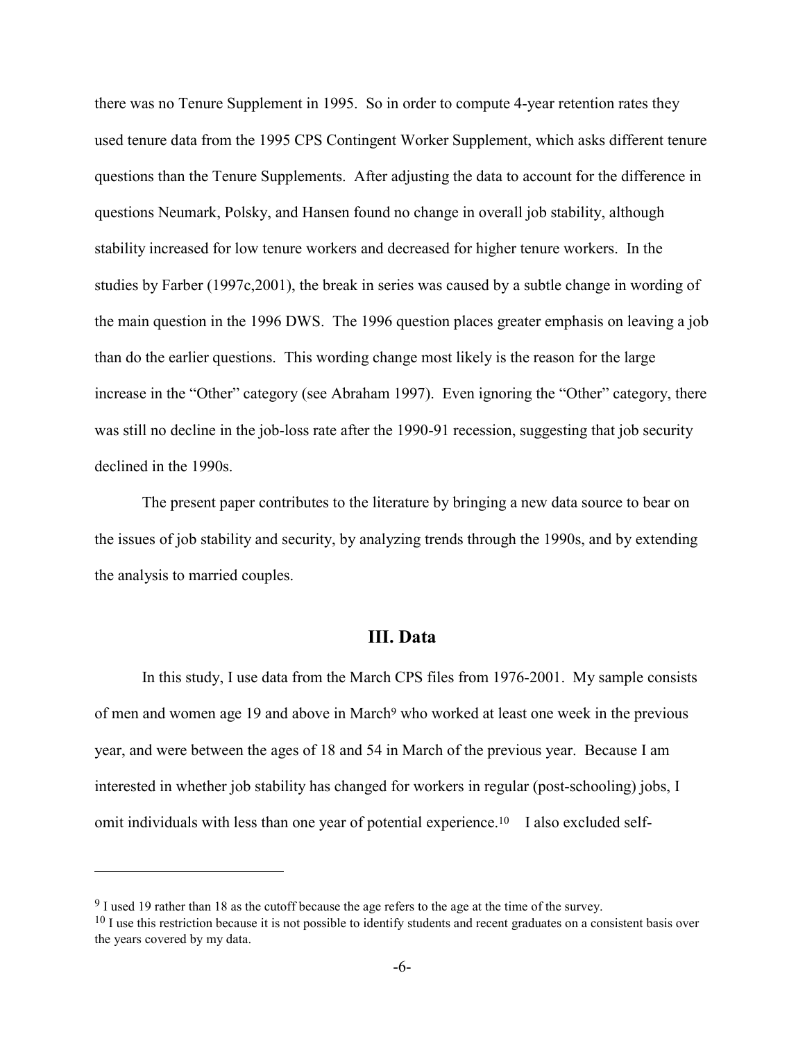there was no Tenure Supplement in 1995. So in order to compute 4-year retention rates they used tenure data from the 1995 CPS Contingent Worker Supplement, which asks different tenure questions than the Tenure Supplements. After adjusting the data to account for the difference in questions Neumark, Polsky, and Hansen found no change in overall job stability, although stability increased for low tenure workers and decreased for higher tenure workers. In the studies by Farber (1997c,2001), the break in series was caused by a subtle change in wording of the main question in the 1996 DWS. The 1996 question places greater emphasis on leaving a job than do the earlier questions. This wording change most likely is the reason for the large increase in the "Other" category (see Abraham 1997). Even ignoring the "Other" category, there was still no decline in the job-loss rate after the 1990-91 recession, suggesting that job security declined in the 1990s.

The present paper contributes to the literature by bringing a new data source to bear on the issues of job stability and security, by analyzing trends through the 1990s, and by extending the analysis to married couples.

## **III. Data**

In this study, I use data from the March CPS files from 1976-2001. My sample consists of men and women age 19 and above in March<sup>9</sup> who worked at least one week in the previous year, and were between the ages of 18 and 54 in March of the previous year. Because I am interested in whether job stability has changed for workers in regular (post-schooling) jobs, I omit individuals with less than one year of potential experience.<sup>10</sup> I also excluded self-

1

<sup>9</sup> I used 19 rather than 18 as the cutoff because the age refers to the age at the time of the survey.

 $10$  I use this restriction because it is not possible to identify students and recent graduates on a consistent basis over the years covered by my data.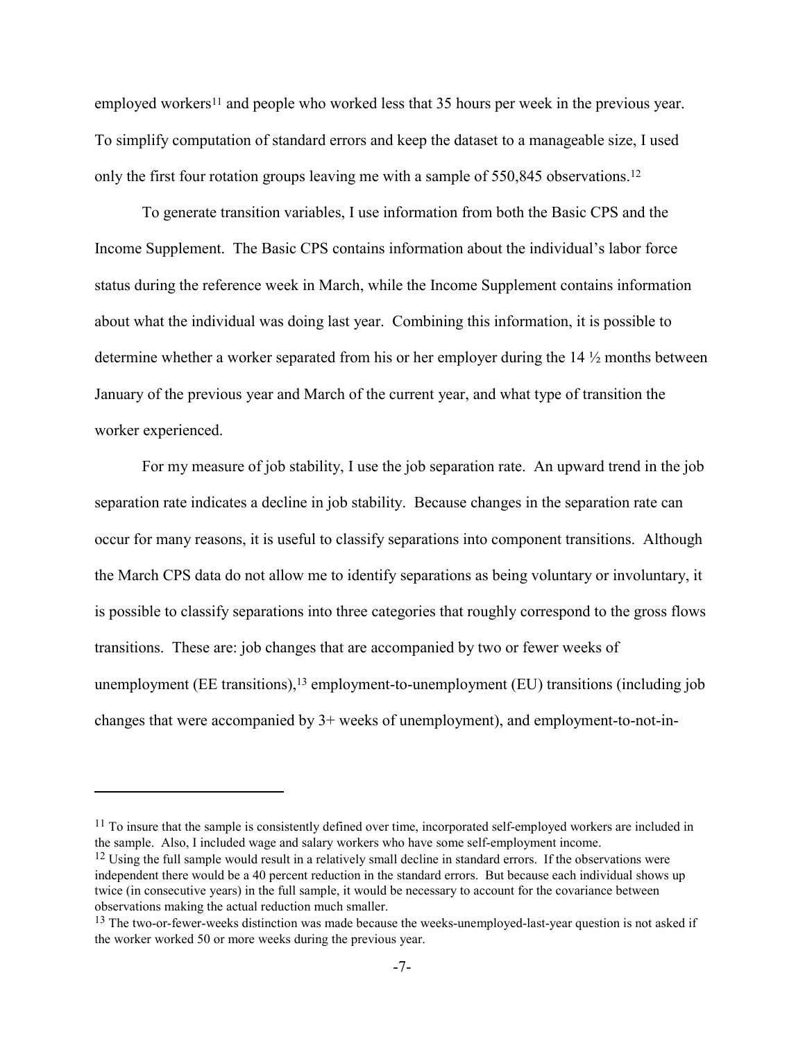employed workers<sup>11</sup> and people who worked less that 35 hours per week in the previous year. To simplify computation of standard errors and keep the dataset to a manageable size, I used only the first four rotation groups leaving me with a sample of 550,845 observations.<sup>12</sup>

To generate transition variables, I use information from both the Basic CPS and the Income Supplement. The Basic CPS contains information about the individual's labor force status during the reference week in March, while the Income Supplement contains information about what the individual was doing last year. Combining this information, it is possible to determine whether a worker separated from his or her employer during the 14 ½ months between January of the previous year and March of the current year, and what type of transition the worker experienced.

For my measure of job stability, I use the job separation rate. An upward trend in the job separation rate indicates a decline in job stability. Because changes in the separation rate can occur for many reasons, it is useful to classify separations into component transitions. Although the March CPS data do not allow me to identify separations as being voluntary or involuntary, it is possible to classify separations into three categories that roughly correspond to the gross flows transitions. These are: job changes that are accompanied by two or fewer weeks of unemployment ( $EE$  transitions),<sup>13</sup> employment-to-unemployment ( $EU$ ) transitions (including job changes that were accompanied by 3+ weeks of unemployment), and employment-to-not-in-

 $11$  To insure that the sample is consistently defined over time, incorporated self-employed workers are included in the sample. Also, I included wage and salary workers who have some self-employment income.

 $12$  Using the full sample would result in a relatively small decline in standard errors. If the observations were independent there would be a 40 percent reduction in the standard errors. But because each individual shows up twice (in consecutive years) in the full sample, it would be necessary to account for the covariance between observations making the actual reduction much smaller.

<sup>&</sup>lt;sup>13</sup> The two-or-fewer-weeks distinction was made because the weeks-unemployed-last-year question is not asked if the worker worked 50 or more weeks during the previous year.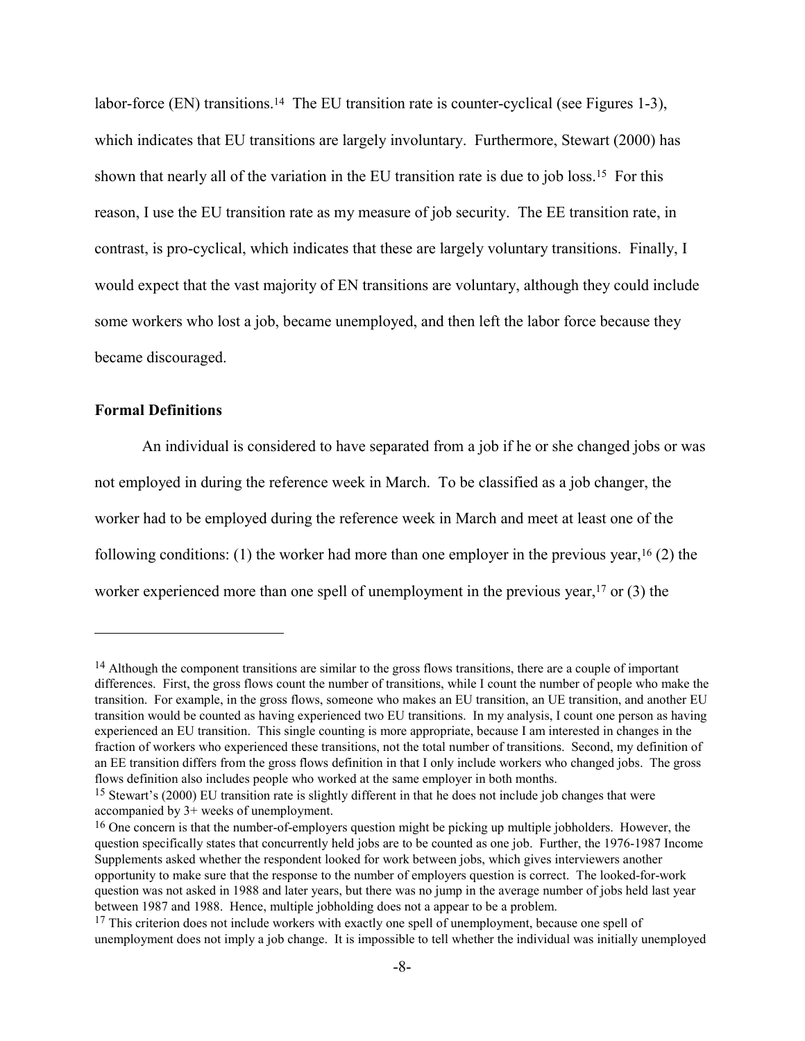labor-force (EN) transitions.<sup>14</sup> The EU transition rate is counter-cyclical (see Figures 1-3), which indicates that EU transitions are largely involuntary. Furthermore, Stewart (2000) has shown that nearly all of the variation in the EU transition rate is due to job loss.15 For this reason, I use the EU transition rate as my measure of job security. The EE transition rate, in contrast, is pro-cyclical, which indicates that these are largely voluntary transitions. Finally, I would expect that the vast majority of EN transitions are voluntary, although they could include some workers who lost a job, became unemployed, and then left the labor force because they became discouraged.

#### **Formal Definitions**

1

An individual is considered to have separated from a job if he or she changed jobs or was not employed in during the reference week in March. To be classified as a job changer, the worker had to be employed during the reference week in March and meet at least one of the following conditions: (1) the worker had more than one employer in the previous year,  $^{16}$  (2) the worker experienced more than one spell of unemployment in the previous year,<sup>17</sup> or (3) the

<sup>&</sup>lt;sup>14</sup> Although the component transitions are similar to the gross flows transitions, there are a couple of important differences. First, the gross flows count the number of transitions, while I count the number of people who make the transition. For example, in the gross flows, someone who makes an EU transition, an UE transition, and another EU transition would be counted as having experienced two EU transitions. In my analysis, I count one person as having experienced an EU transition. This single counting is more appropriate, because I am interested in changes in the fraction of workers who experienced these transitions, not the total number of transitions. Second, my definition of an EE transition differs from the gross flows definition in that I only include workers who changed jobs. The gross flows definition also includes people who worked at the same employer in both months.

<sup>15</sup> Stewart's (2000) EU transition rate is slightly different in that he does not include job changes that were accompanied by 3+ weeks of unemployment.

<sup>&</sup>lt;sup>16</sup> One concern is that the number-of-employers question might be picking up multiple jobholders. However, the question specifically states that concurrently held jobs are to be counted as one job. Further, the 1976-1987 Income Supplements asked whether the respondent looked for work between jobs, which gives interviewers another opportunity to make sure that the response to the number of employers question is correct. The looked-for-work question was not asked in 1988 and later years, but there was no jump in the average number of jobs held last year between 1987 and 1988. Hence, multiple jobholding does not a appear to be a problem.

<sup>&</sup>lt;sup>17</sup> This criterion does not include workers with exactly one spell of unemployment, because one spell of unemployment does not imply a job change. It is impossible to tell whether the individual was initially unemployed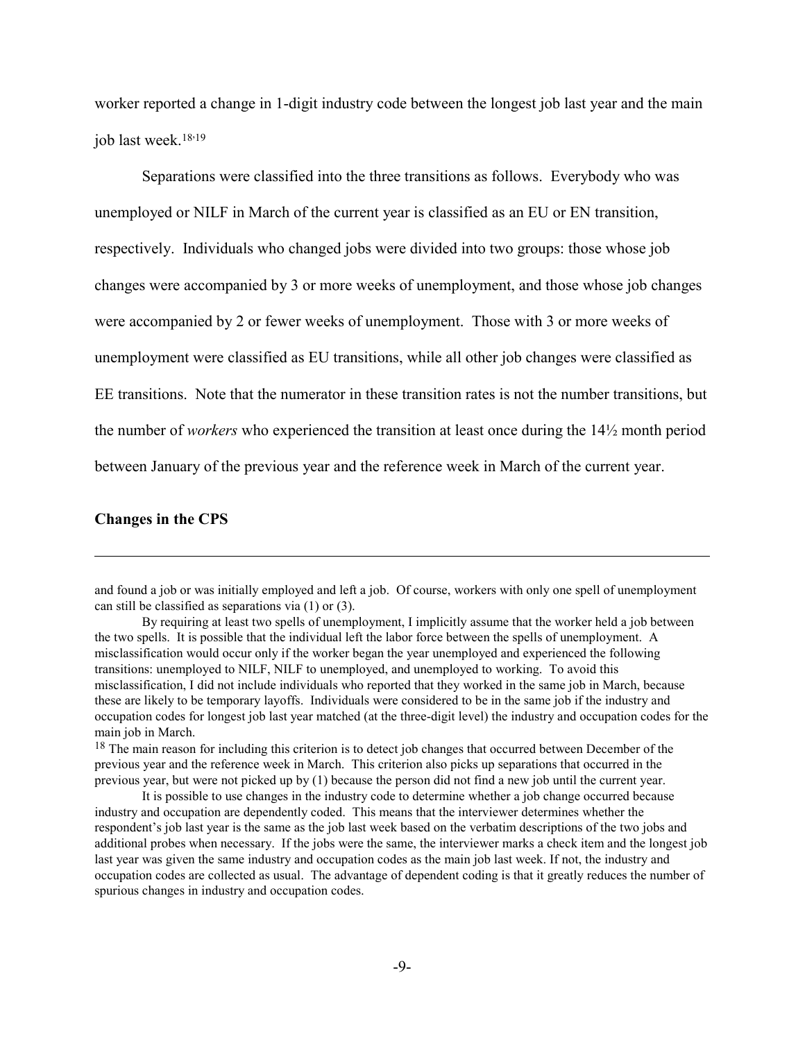worker reported a change in 1-digit industry code between the longest job last year and the main job last week.<sup>18,19</sup>

Separations were classified into the three transitions as follows. Everybody who was unemployed or NILF in March of the current year is classified as an EU or EN transition, respectively. Individuals who changed jobs were divided into two groups: those whose job changes were accompanied by 3 or more weeks of unemployment, and those whose job changes were accompanied by 2 or fewer weeks of unemployment. Those with 3 or more weeks of unemployment were classified as EU transitions, while all other job changes were classified as EE transitions. Note that the numerator in these transition rates is not the number transitions, but the number of *workers* who experienced the transition at least once during the 14½ month period between January of the previous year and the reference week in March of the current year.

#### **Changes in the CPS**

 $\overline{a}$ 

and found a job or was initially employed and left a job. Of course, workers with only one spell of unemployment can still be classified as separations via (1) or (3).

By requiring at least two spells of unemployment, I implicitly assume that the worker held a job between the two spells. It is possible that the individual left the labor force between the spells of unemployment. A misclassification would occur only if the worker began the year unemployed and experienced the following transitions: unemployed to NILF, NILF to unemployed, and unemployed to working. To avoid this misclassification, I did not include individuals who reported that they worked in the same job in March, because these are likely to be temporary layoffs. Individuals were considered to be in the same job if the industry and occupation codes for longest job last year matched (at the three-digit level) the industry and occupation codes for the main job in March.

<sup>&</sup>lt;sup>18</sup> The main reason for including this criterion is to detect job changes that occurred between December of the previous year and the reference week in March. This criterion also picks up separations that occurred in the previous year, but were not picked up by (1) because the person did not find a new job until the current year.

It is possible to use changes in the industry code to determine whether a job change occurred because industry and occupation are dependently coded. This means that the interviewer determines whether the respondent's job last year is the same as the job last week based on the verbatim descriptions of the two jobs and additional probes when necessary. If the jobs were the same, the interviewer marks a check item and the longest job last year was given the same industry and occupation codes as the main job last week. If not, the industry and occupation codes are collected as usual. The advantage of dependent coding is that it greatly reduces the number of spurious changes in industry and occupation codes.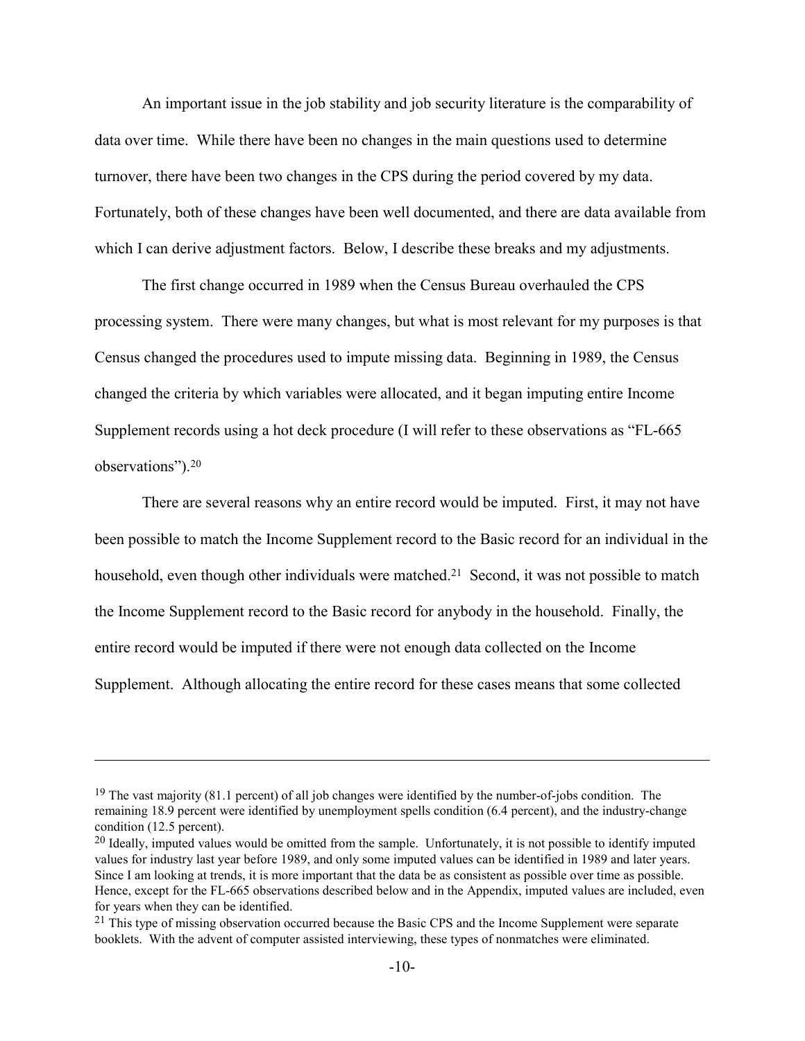An important issue in the job stability and job security literature is the comparability of data over time. While there have been no changes in the main questions used to determine turnover, there have been two changes in the CPS during the period covered by my data. Fortunately, both of these changes have been well documented, and there are data available from which I can derive adjustment factors. Below, I describe these breaks and my adjustments.

The first change occurred in 1989 when the Census Bureau overhauled the CPS processing system. There were many changes, but what is most relevant for my purposes is that Census changed the procedures used to impute missing data. Beginning in 1989, the Census changed the criteria by which variables were allocated, and it began imputing entire Income Supplement records using a hot deck procedure (I will refer to these observations as "FL-665 observations").20

There are several reasons why an entire record would be imputed. First, it may not have been possible to match the Income Supplement record to the Basic record for an individual in the household, even though other individuals were matched.<sup>21</sup> Second, it was not possible to match the Income Supplement record to the Basic record for anybody in the household. Finally, the entire record would be imputed if there were not enough data collected on the Income Supplement. Although allocating the entire record for these cases means that some collected

1

<sup>&</sup>lt;sup>19</sup> The vast majority  $(81.1 \text{ percent})$  of all job changes were identified by the number-of-jobs condition. The remaining 18.9 percent were identified by unemployment spells condition (6.4 percent), and the industry-change condition (12.5 percent).

<sup>&</sup>lt;sup>20</sup> Ideally, imputed values would be omitted from the sample. Unfortunately, it is not possible to identify imputed values for industry last year before 1989, and only some imputed values can be identified in 1989 and later years. Since I am looking at trends, it is more important that the data be as consistent as possible over time as possible. Hence, except for the FL-665 observations described below and in the Appendix, imputed values are included, even for years when they can be identified.

<sup>&</sup>lt;sup>21</sup> This type of missing observation occurred because the Basic CPS and the Income Supplement were separate booklets. With the advent of computer assisted interviewing, these types of nonmatches were eliminated.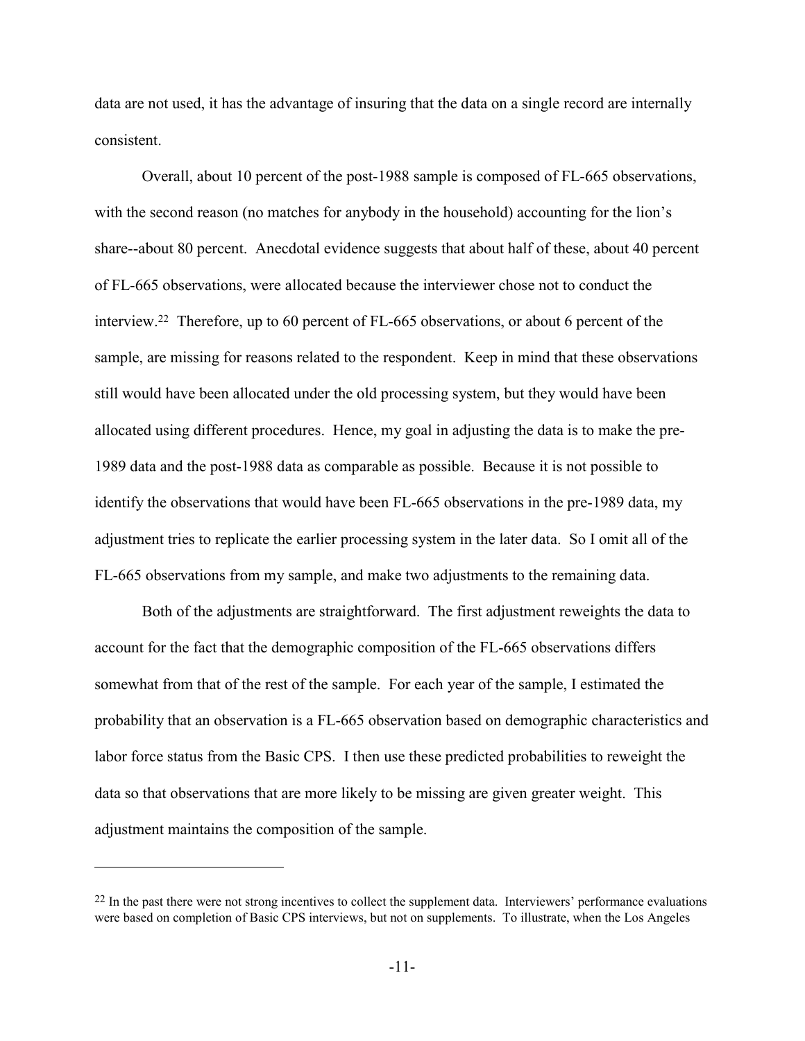data are not used, it has the advantage of insuring that the data on a single record are internally consistent.

Overall, about 10 percent of the post-1988 sample is composed of FL-665 observations, with the second reason (no matches for anybody in the household) accounting for the lion's share--about 80 percent. Anecdotal evidence suggests that about half of these, about 40 percent of FL-665 observations, were allocated because the interviewer chose not to conduct the interview.22 Therefore, up to 60 percent of FL-665 observations, or about 6 percent of the sample, are missing for reasons related to the respondent. Keep in mind that these observations still would have been allocated under the old processing system, but they would have been allocated using different procedures. Hence, my goal in adjusting the data is to make the pre-1989 data and the post-1988 data as comparable as possible. Because it is not possible to identify the observations that would have been FL-665 observations in the pre-1989 data, my adjustment tries to replicate the earlier processing system in the later data. So I omit all of the FL-665 observations from my sample, and make two adjustments to the remaining data.

Both of the adjustments are straightforward. The first adjustment reweights the data to account for the fact that the demographic composition of the FL-665 observations differs somewhat from that of the rest of the sample. For each year of the sample, I estimated the probability that an observation is a FL-665 observation based on demographic characteristics and labor force status from the Basic CPS. I then use these predicted probabilities to reweight the data so that observations that are more likely to be missing are given greater weight. This adjustment maintains the composition of the sample.

1

 $22$  In the past there were not strong incentives to collect the supplement data. Interviewers' performance evaluations were based on completion of Basic CPS interviews, but not on supplements. To illustrate, when the Los Angeles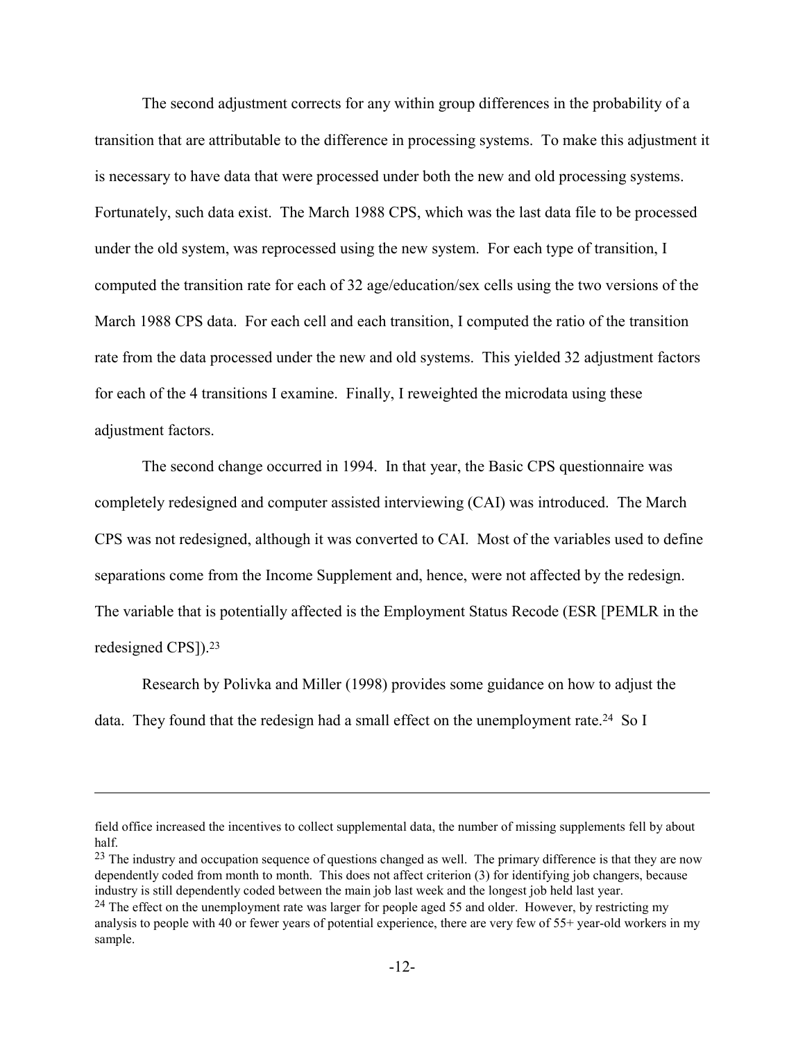The second adjustment corrects for any within group differences in the probability of a transition that are attributable to the difference in processing systems. To make this adjustment it is necessary to have data that were processed under both the new and old processing systems. Fortunately, such data exist. The March 1988 CPS, which was the last data file to be processed under the old system, was reprocessed using the new system. For each type of transition, I computed the transition rate for each of 32 age/education/sex cells using the two versions of the March 1988 CPS data. For each cell and each transition, I computed the ratio of the transition rate from the data processed under the new and old systems. This yielded 32 adjustment factors for each of the 4 transitions I examine. Finally, I reweighted the microdata using these adjustment factors.

The second change occurred in 1994. In that year, the Basic CPS questionnaire was completely redesigned and computer assisted interviewing (CAI) was introduced. The March CPS was not redesigned, although it was converted to CAI. Most of the variables used to define separations come from the Income Supplement and, hence, were not affected by the redesign. The variable that is potentially affected is the Employment Status Recode (ESR [PEMLR in the redesigned CPS]).23

Research by Polivka and Miller (1998) provides some guidance on how to adjust the data. They found that the redesign had a small effect on the unemployment rate.<sup>24</sup> So I

field office increased the incentives to collect supplemental data, the number of missing supplements fell by about half.

<sup>&</sup>lt;sup>23</sup> The industry and occupation sequence of questions changed as well. The primary difference is that they are now dependently coded from month to month. This does not affect criterion (3) for identifying job changers, because industry is still dependently coded between the main job last week and the longest job held last year.

<sup>&</sup>lt;sup>24</sup> The effect on the unemployment rate was larger for people aged 55 and older. However, by restricting my analysis to people with 40 or fewer years of potential experience, there are very few of 55+ year-old workers in my sample.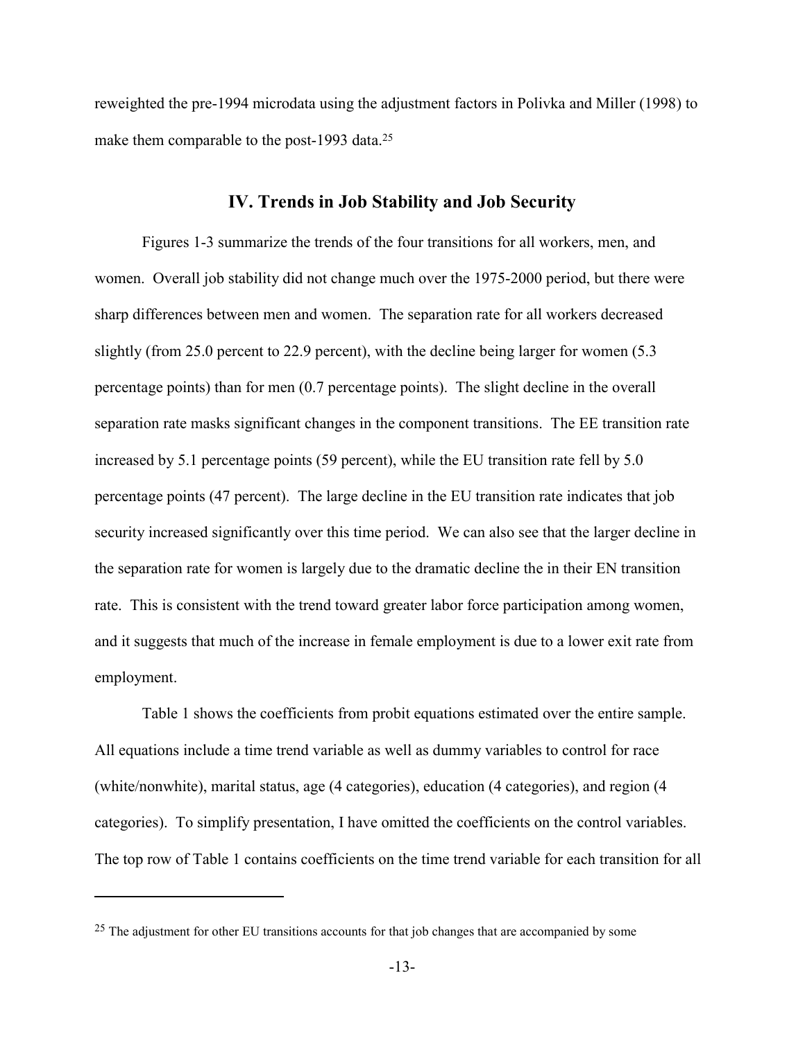reweighted the pre-1994 microdata using the adjustment factors in Polivka and Miller (1998) to make them comparable to the post-1993 data.<sup>25</sup>

### **IV. Trends in Job Stability and Job Security**

Figures 1-3 summarize the trends of the four transitions for all workers, men, and women. Overall job stability did not change much over the 1975-2000 period, but there were sharp differences between men and women. The separation rate for all workers decreased slightly (from 25.0 percent to 22.9 percent), with the decline being larger for women (5.3 percentage points) than for men (0.7 percentage points). The slight decline in the overall separation rate masks significant changes in the component transitions. The EE transition rate increased by 5.1 percentage points (59 percent), while the EU transition rate fell by 5.0 percentage points (47 percent). The large decline in the EU transition rate indicates that job security increased significantly over this time period. We can also see that the larger decline in the separation rate for women is largely due to the dramatic decline the in their EN transition rate. This is consistent with the trend toward greater labor force participation among women, and it suggests that much of the increase in female employment is due to a lower exit rate from employment.

Table 1 shows the coefficients from probit equations estimated over the entire sample. All equations include a time trend variable as well as dummy variables to control for race (white/nonwhite), marital status, age (4 categories), education (4 categories), and region (4 categories). To simplify presentation, I have omitted the coefficients on the control variables. The top row of Table 1 contains coefficients on the time trend variable for each transition for all

<sup>&</sup>lt;sup>25</sup> The adjustment for other EU transitions accounts for that job changes that are accompanied by some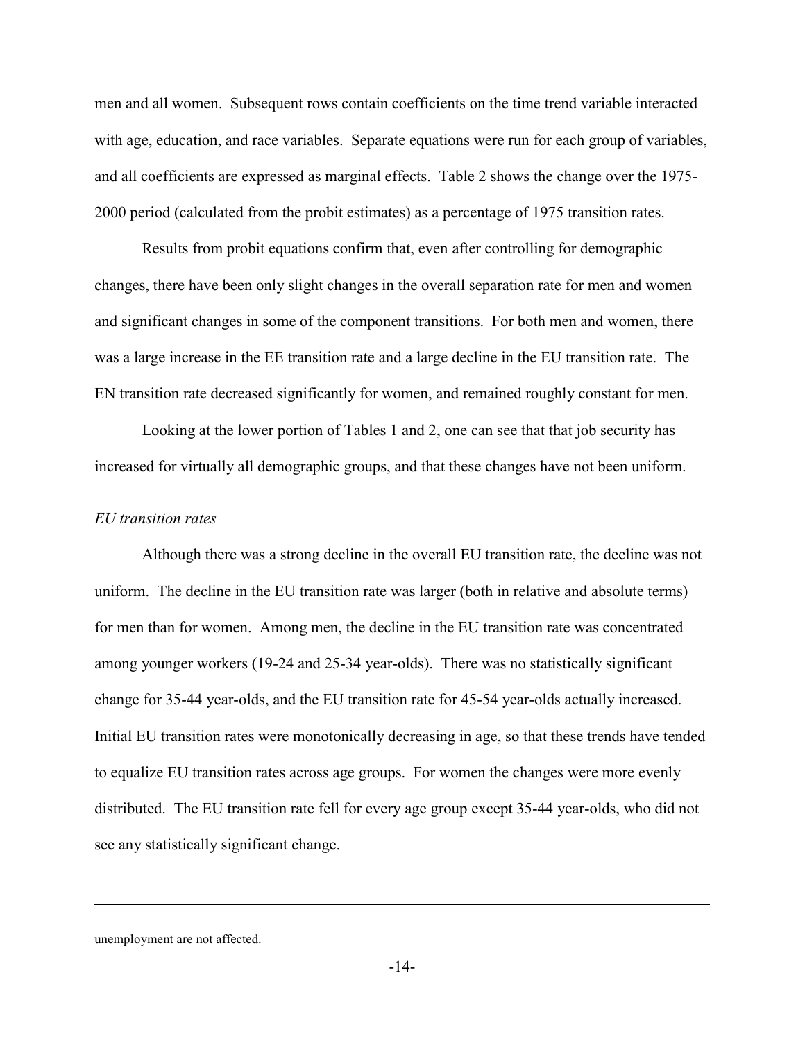men and all women. Subsequent rows contain coefficients on the time trend variable interacted with age, education, and race variables. Separate equations were run for each group of variables, and all coefficients are expressed as marginal effects. Table 2 shows the change over the 1975- 2000 period (calculated from the probit estimates) as a percentage of 1975 transition rates.

Results from probit equations confirm that, even after controlling for demographic changes, there have been only slight changes in the overall separation rate for men and women and significant changes in some of the component transitions. For both men and women, there was a large increase in the EE transition rate and a large decline in the EU transition rate. The EN transition rate decreased significantly for women, and remained roughly constant for men.

Looking at the lower portion of Tables 1 and 2, one can see that that job security has increased for virtually all demographic groups, and that these changes have not been uniform.

#### *EU transition rates*

Although there was a strong decline in the overall EU transition rate, the decline was not uniform. The decline in the EU transition rate was larger (both in relative and absolute terms) for men than for women. Among men, the decline in the EU transition rate was concentrated among younger workers (19-24 and 25-34 year-olds). There was no statistically significant change for 35-44 year-olds, and the EU transition rate for 45-54 year-olds actually increased. Initial EU transition rates were monotonically decreasing in age, so that these trends have tended to equalize EU transition rates across age groups. For women the changes were more evenly distributed. The EU transition rate fell for every age group except 35-44 year-olds, who did not see any statistically significant change.

unemployment are not affected.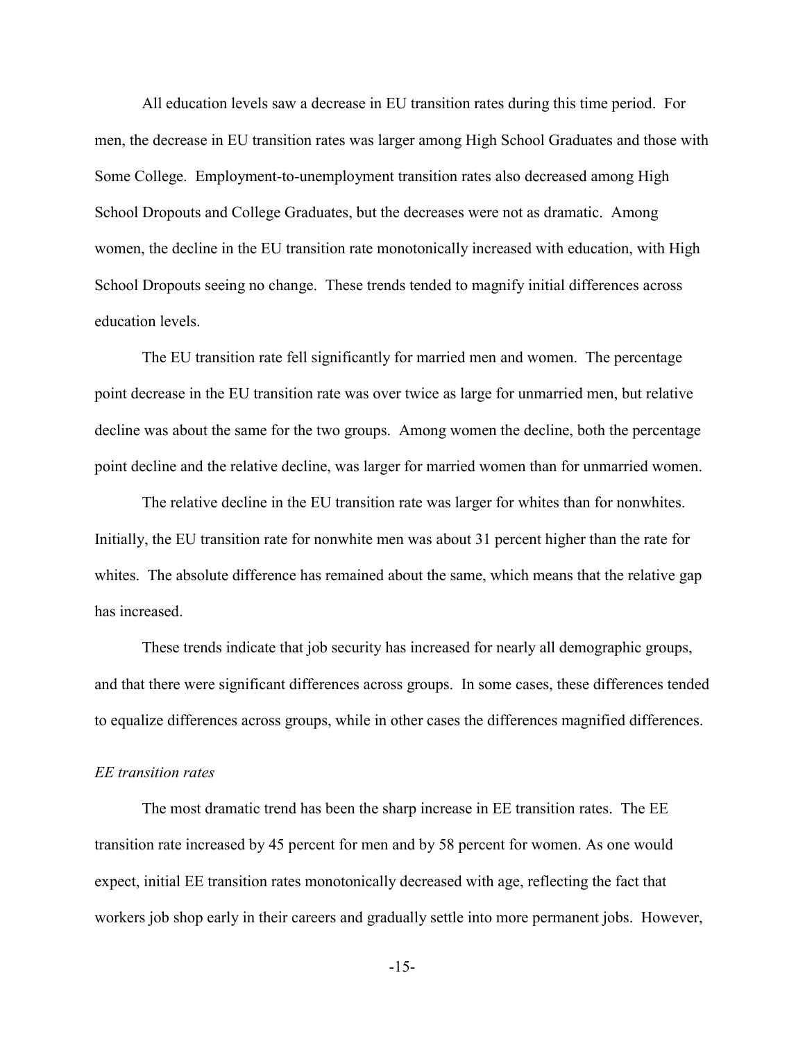All education levels saw a decrease in EU transition rates during this time period. For men, the decrease in EU transition rates was larger among High School Graduates and those with Some College. Employment-to-unemployment transition rates also decreased among High School Dropouts and College Graduates, but the decreases were not as dramatic. Among women, the decline in the EU transition rate monotonically increased with education, with High School Dropouts seeing no change. These trends tended to magnify initial differences across education levels.

The EU transition rate fell significantly for married men and women. The percentage point decrease in the EU transition rate was over twice as large for unmarried men, but relative decline was about the same for the two groups. Among women the decline, both the percentage point decline and the relative decline, was larger for married women than for unmarried women.

The relative decline in the EU transition rate was larger for whites than for nonwhites. Initially, the EU transition rate for nonwhite men was about 31 percent higher than the rate for whites. The absolute difference has remained about the same, which means that the relative gap has increased.

These trends indicate that job security has increased for nearly all demographic groups, and that there were significant differences across groups. In some cases, these differences tended to equalize differences across groups, while in other cases the differences magnified differences.

#### *EE transition rates*

The most dramatic trend has been the sharp increase in EE transition rates. The EE transition rate increased by 45 percent for men and by 58 percent for women. As one would expect, initial EE transition rates monotonically decreased with age, reflecting the fact that workers job shop early in their careers and gradually settle into more permanent jobs. However,

-15-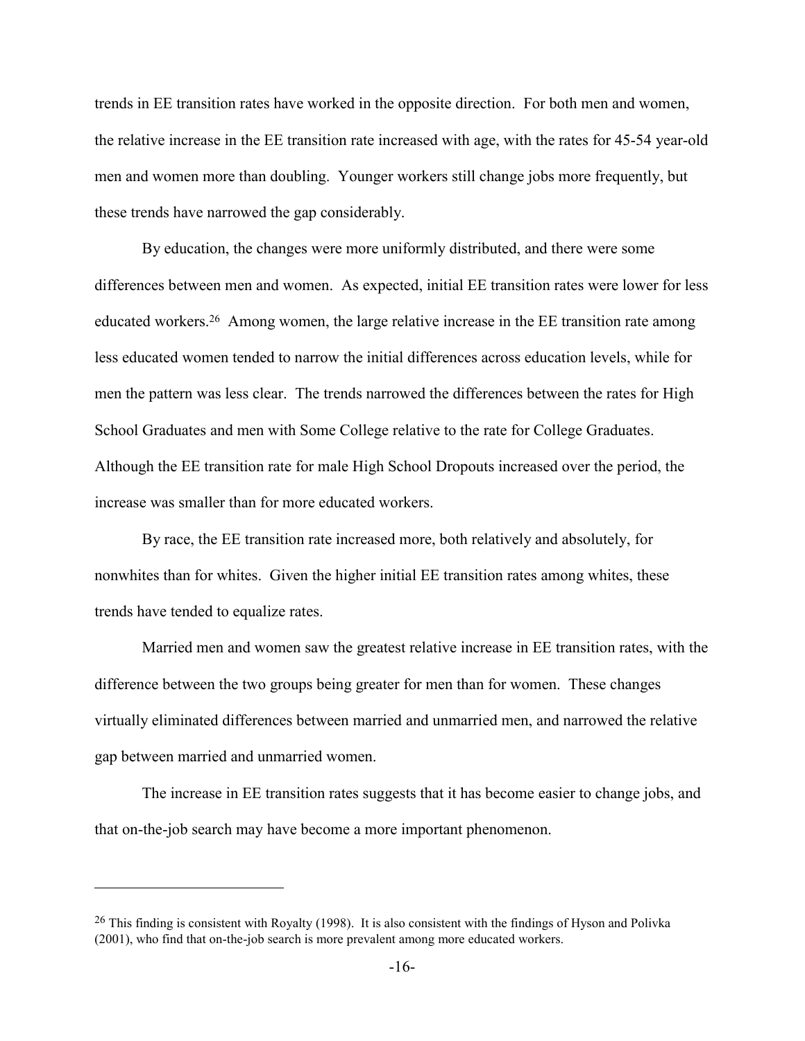trends in EE transition rates have worked in the opposite direction. For both men and women, the relative increase in the EE transition rate increased with age, with the rates for 45-54 year-old men and women more than doubling. Younger workers still change jobs more frequently, but these trends have narrowed the gap considerably.

By education, the changes were more uniformly distributed, and there were some differences between men and women. As expected, initial EE transition rates were lower for less educated workers.26 Among women, the large relative increase in the EE transition rate among less educated women tended to narrow the initial differences across education levels, while for men the pattern was less clear. The trends narrowed the differences between the rates for High School Graduates and men with Some College relative to the rate for College Graduates. Although the EE transition rate for male High School Dropouts increased over the period, the increase was smaller than for more educated workers.

By race, the EE transition rate increased more, both relatively and absolutely, for nonwhites than for whites. Given the higher initial EE transition rates among whites, these trends have tended to equalize rates.

Married men and women saw the greatest relative increase in EE transition rates, with the difference between the two groups being greater for men than for women. These changes virtually eliminated differences between married and unmarried men, and narrowed the relative gap between married and unmarried women.

The increase in EE transition rates suggests that it has become easier to change jobs, and that on-the-job search may have become a more important phenomenon.

1

<sup>&</sup>lt;sup>26</sup> This finding is consistent with Royalty (1998). It is also consistent with the findings of Hyson and Polivka (2001), who find that on-the-job search is more prevalent among more educated workers.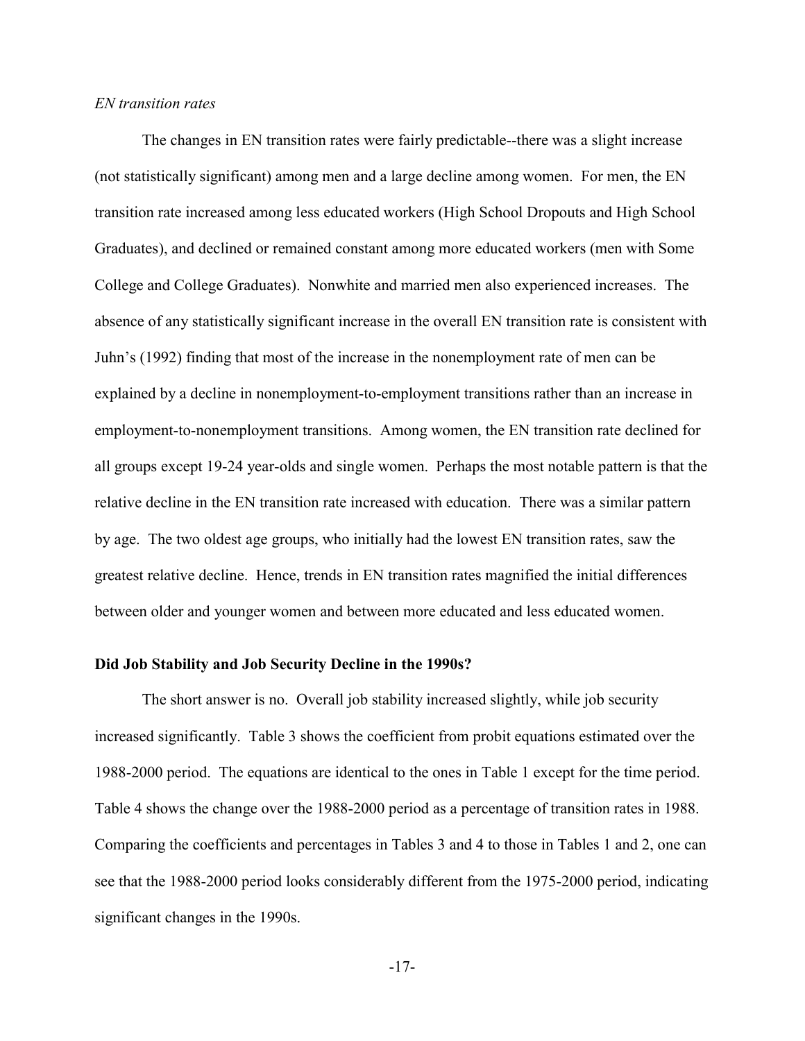#### *EN transition rates*

The changes in EN transition rates were fairly predictable--there was a slight increase (not statistically significant) among men and a large decline among women. For men, the EN transition rate increased among less educated workers (High School Dropouts and High School Graduates), and declined or remained constant among more educated workers (men with Some College and College Graduates). Nonwhite and married men also experienced increases. The absence of any statistically significant increase in the overall EN transition rate is consistent with Juhn's (1992) finding that most of the increase in the nonemployment rate of men can be explained by a decline in nonemployment-to-employment transitions rather than an increase in employment-to-nonemployment transitions. Among women, the EN transition rate declined for all groups except 19-24 year-olds and single women. Perhaps the most notable pattern is that the relative decline in the EN transition rate increased with education. There was a similar pattern by age. The two oldest age groups, who initially had the lowest EN transition rates, saw the greatest relative decline. Hence, trends in EN transition rates magnified the initial differences between older and younger women and between more educated and less educated women.

#### **Did Job Stability and Job Security Decline in the 1990s?**

The short answer is no. Overall job stability increased slightly, while job security increased significantly. Table 3 shows the coefficient from probit equations estimated over the 1988-2000 period. The equations are identical to the ones in Table 1 except for the time period. Table 4 shows the change over the 1988-2000 period as a percentage of transition rates in 1988. Comparing the coefficients and percentages in Tables 3 and 4 to those in Tables 1 and 2, one can see that the 1988-2000 period looks considerably different from the 1975-2000 period, indicating significant changes in the 1990s.

-17-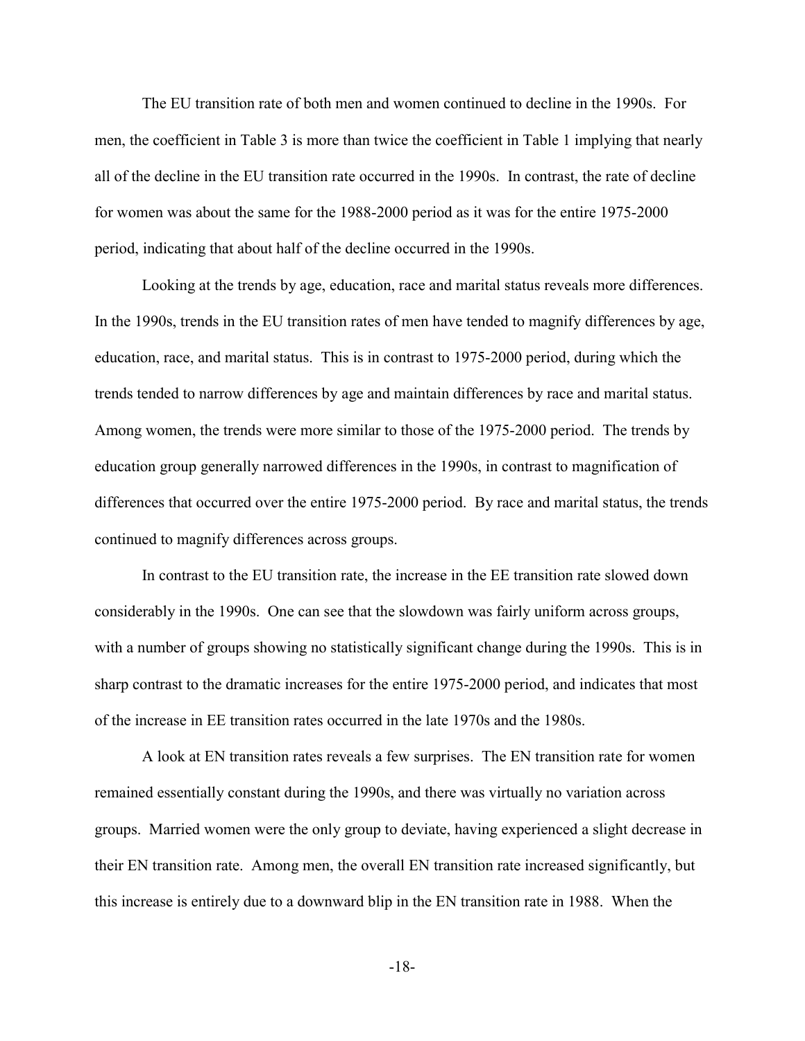The EU transition rate of both men and women continued to decline in the 1990s. For men, the coefficient in Table 3 is more than twice the coefficient in Table 1 implying that nearly all of the decline in the EU transition rate occurred in the 1990s. In contrast, the rate of decline for women was about the same for the 1988-2000 period as it was for the entire 1975-2000 period, indicating that about half of the decline occurred in the 1990s.

Looking at the trends by age, education, race and marital status reveals more differences. In the 1990s, trends in the EU transition rates of men have tended to magnify differences by age, education, race, and marital status. This is in contrast to 1975-2000 period, during which the trends tended to narrow differences by age and maintain differences by race and marital status. Among women, the trends were more similar to those of the 1975-2000 period. The trends by education group generally narrowed differences in the 1990s, in contrast to magnification of differences that occurred over the entire 1975-2000 period. By race and marital status, the trends continued to magnify differences across groups.

In contrast to the EU transition rate, the increase in the EE transition rate slowed down considerably in the 1990s. One can see that the slowdown was fairly uniform across groups, with a number of groups showing no statistically significant change during the 1990s. This is in sharp contrast to the dramatic increases for the entire 1975-2000 period, and indicates that most of the increase in EE transition rates occurred in the late 1970s and the 1980s.

A look at EN transition rates reveals a few surprises. The EN transition rate for women remained essentially constant during the 1990s, and there was virtually no variation across groups. Married women were the only group to deviate, having experienced a slight decrease in their EN transition rate. Among men, the overall EN transition rate increased significantly, but this increase is entirely due to a downward blip in the EN transition rate in 1988. When the

-18-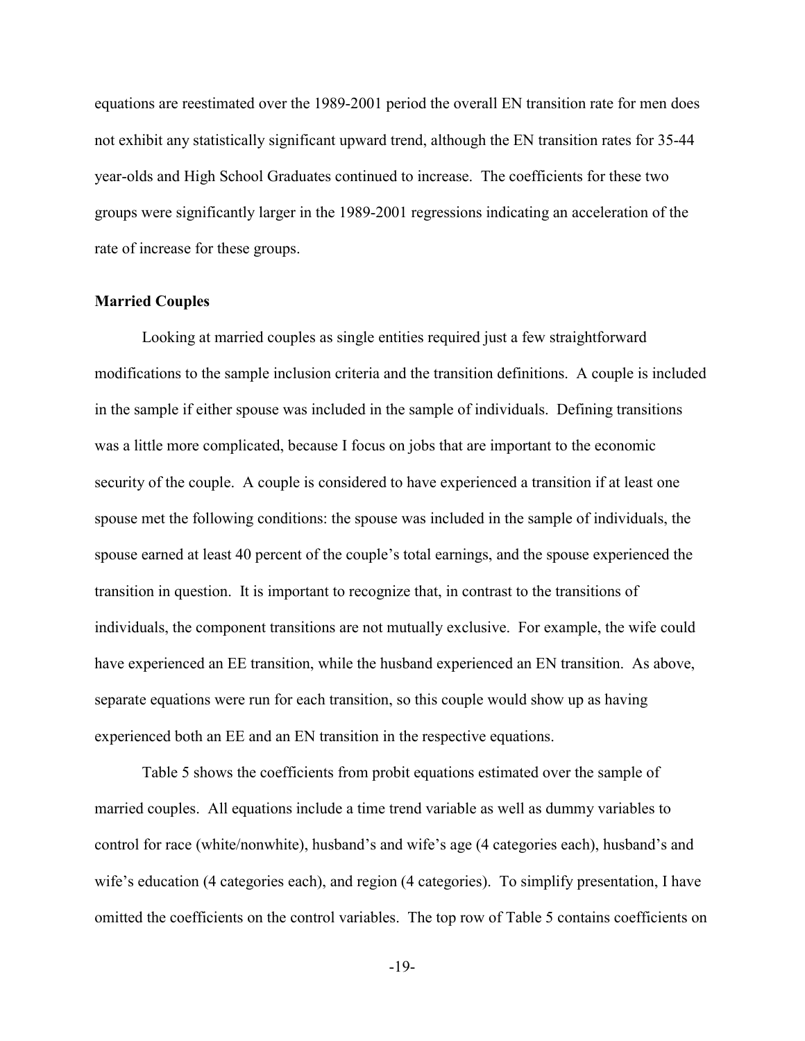equations are reestimated over the 1989-2001 period the overall EN transition rate for men does not exhibit any statistically significant upward trend, although the EN transition rates for 35-44 year-olds and High School Graduates continued to increase. The coefficients for these two groups were significantly larger in the 1989-2001 regressions indicating an acceleration of the rate of increase for these groups.

#### **Married Couples**

Looking at married couples as single entities required just a few straightforward modifications to the sample inclusion criteria and the transition definitions. A couple is included in the sample if either spouse was included in the sample of individuals. Defining transitions was a little more complicated, because I focus on jobs that are important to the economic security of the couple. A couple is considered to have experienced a transition if at least one spouse met the following conditions: the spouse was included in the sample of individuals, the spouse earned at least 40 percent of the couple's total earnings, and the spouse experienced the transition in question. It is important to recognize that, in contrast to the transitions of individuals, the component transitions are not mutually exclusive. For example, the wife could have experienced an EE transition, while the husband experienced an EN transition. As above, separate equations were run for each transition, so this couple would show up as having experienced both an EE and an EN transition in the respective equations.

Table 5 shows the coefficients from probit equations estimated over the sample of married couples. All equations include a time trend variable as well as dummy variables to control for race (white/nonwhite), husband's and wife's age (4 categories each), husband's and wife's education (4 categories each), and region (4 categories). To simplify presentation, I have omitted the coefficients on the control variables. The top row of Table 5 contains coefficients on

-19-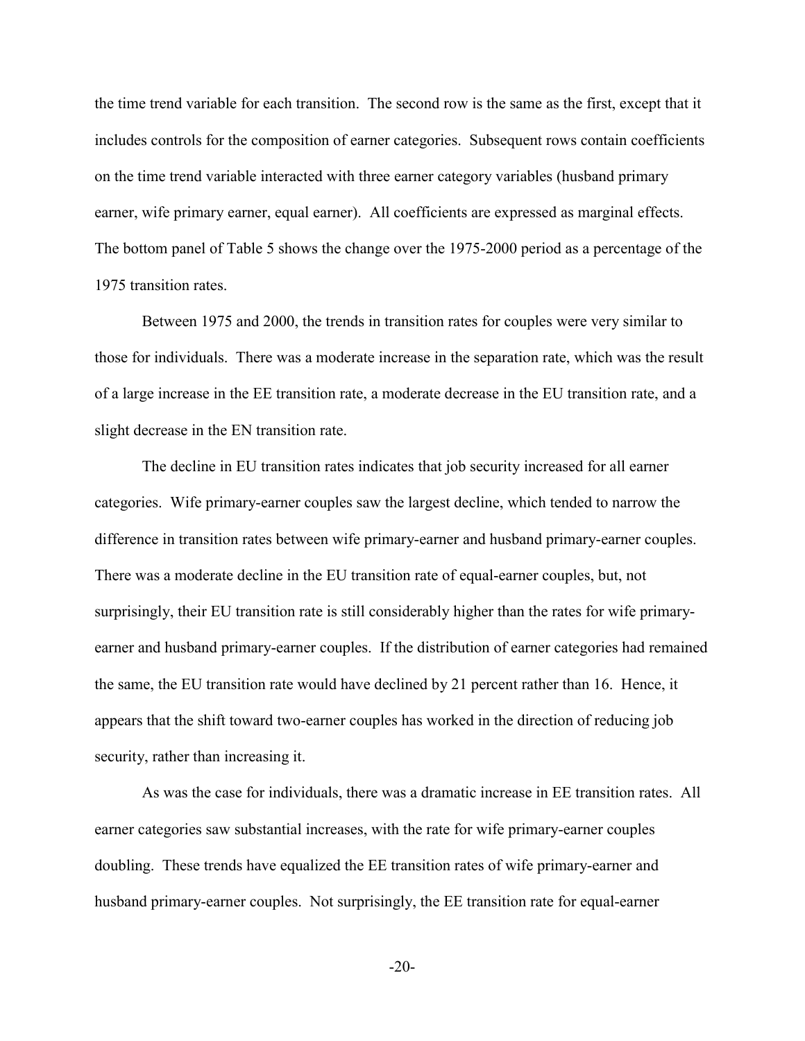the time trend variable for each transition. The second row is the same as the first, except that it includes controls for the composition of earner categories. Subsequent rows contain coefficients on the time trend variable interacted with three earner category variables (husband primary earner, wife primary earner, equal earner). All coefficients are expressed as marginal effects. The bottom panel of Table 5 shows the change over the 1975-2000 period as a percentage of the 1975 transition rates.

Between 1975 and 2000, the trends in transition rates for couples were very similar to those for individuals. There was a moderate increase in the separation rate, which was the result of a large increase in the EE transition rate, a moderate decrease in the EU transition rate, and a slight decrease in the EN transition rate.

The decline in EU transition rates indicates that job security increased for all earner categories. Wife primary-earner couples saw the largest decline, which tended to narrow the difference in transition rates between wife primary-earner and husband primary-earner couples. There was a moderate decline in the EU transition rate of equal-earner couples, but, not surprisingly, their EU transition rate is still considerably higher than the rates for wife primaryearner and husband primary-earner couples. If the distribution of earner categories had remained the same, the EU transition rate would have declined by 21 percent rather than 16. Hence, it appears that the shift toward two-earner couples has worked in the direction of reducing job security, rather than increasing it.

As was the case for individuals, there was a dramatic increase in EE transition rates. All earner categories saw substantial increases, with the rate for wife primary-earner couples doubling. These trends have equalized the EE transition rates of wife primary-earner and husband primary-earner couples. Not surprisingly, the EE transition rate for equal-earner

-20-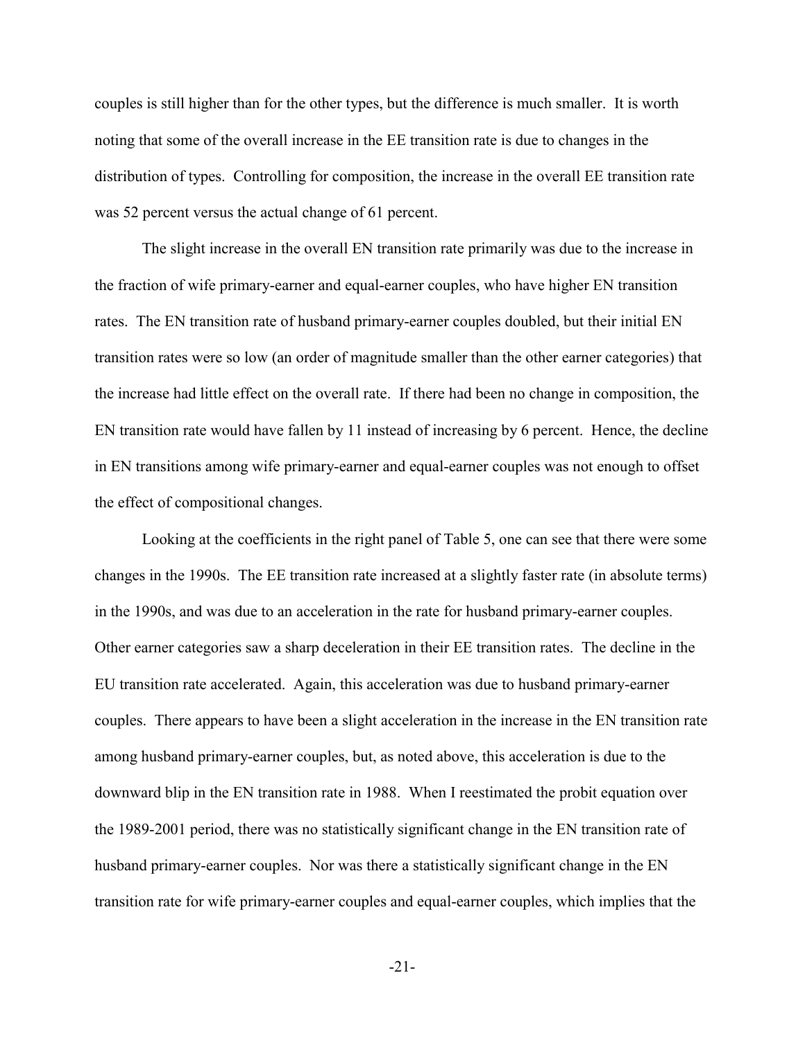couples is still higher than for the other types, but the difference is much smaller. It is worth noting that some of the overall increase in the EE transition rate is due to changes in the distribution of types. Controlling for composition, the increase in the overall EE transition rate was 52 percent versus the actual change of 61 percent.

The slight increase in the overall EN transition rate primarily was due to the increase in the fraction of wife primary-earner and equal-earner couples, who have higher EN transition rates. The EN transition rate of husband primary-earner couples doubled, but their initial EN transition rates were so low (an order of magnitude smaller than the other earner categories) that the increase had little effect on the overall rate. If there had been no change in composition, the EN transition rate would have fallen by 11 instead of increasing by 6 percent. Hence, the decline in EN transitions among wife primary-earner and equal-earner couples was not enough to offset the effect of compositional changes.

Looking at the coefficients in the right panel of Table 5, one can see that there were some changes in the 1990s. The EE transition rate increased at a slightly faster rate (in absolute terms) in the 1990s, and was due to an acceleration in the rate for husband primary-earner couples. Other earner categories saw a sharp deceleration in their EE transition rates. The decline in the EU transition rate accelerated. Again, this acceleration was due to husband primary-earner couples. There appears to have been a slight acceleration in the increase in the EN transition rate among husband primary-earner couples, but, as noted above, this acceleration is due to the downward blip in the EN transition rate in 1988. When I reestimated the probit equation over the 1989-2001 period, there was no statistically significant change in the EN transition rate of husband primary-earner couples. Nor was there a statistically significant change in the EN transition rate for wife primary-earner couples and equal-earner couples, which implies that the

-21-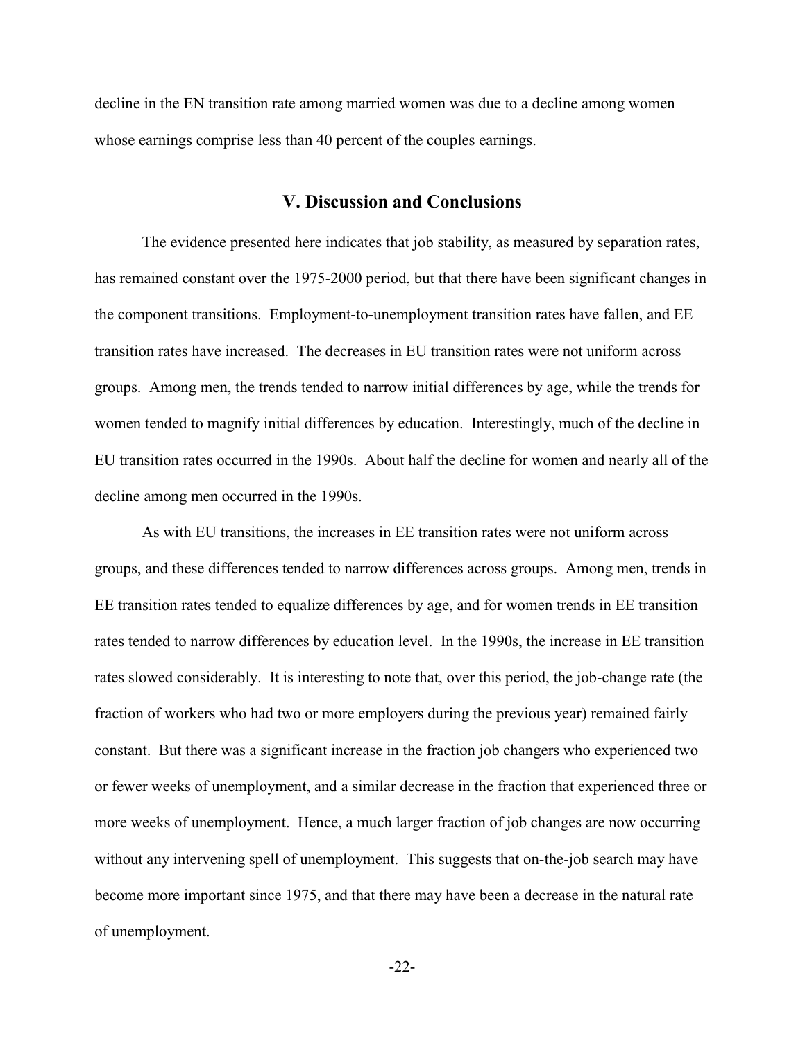decline in the EN transition rate among married women was due to a decline among women whose earnings comprise less than 40 percent of the couples earnings.

## **V. Discussion and Conclusions**

The evidence presented here indicates that job stability, as measured by separation rates, has remained constant over the 1975-2000 period, but that there have been significant changes in the component transitions. Employment-to-unemployment transition rates have fallen, and EE transition rates have increased. The decreases in EU transition rates were not uniform across groups. Among men, the trends tended to narrow initial differences by age, while the trends for women tended to magnify initial differences by education. Interestingly, much of the decline in EU transition rates occurred in the 1990s. About half the decline for women and nearly all of the decline among men occurred in the 1990s.

As with EU transitions, the increases in EE transition rates were not uniform across groups, and these differences tended to narrow differences across groups. Among men, trends in EE transition rates tended to equalize differences by age, and for women trends in EE transition rates tended to narrow differences by education level. In the 1990s, the increase in EE transition rates slowed considerably. It is interesting to note that, over this period, the job-change rate (the fraction of workers who had two or more employers during the previous year) remained fairly constant. But there was a significant increase in the fraction job changers who experienced two or fewer weeks of unemployment, and a similar decrease in the fraction that experienced three or more weeks of unemployment. Hence, a much larger fraction of job changes are now occurring without any intervening spell of unemployment. This suggests that on-the-job search may have become more important since 1975, and that there may have been a decrease in the natural rate of unemployment.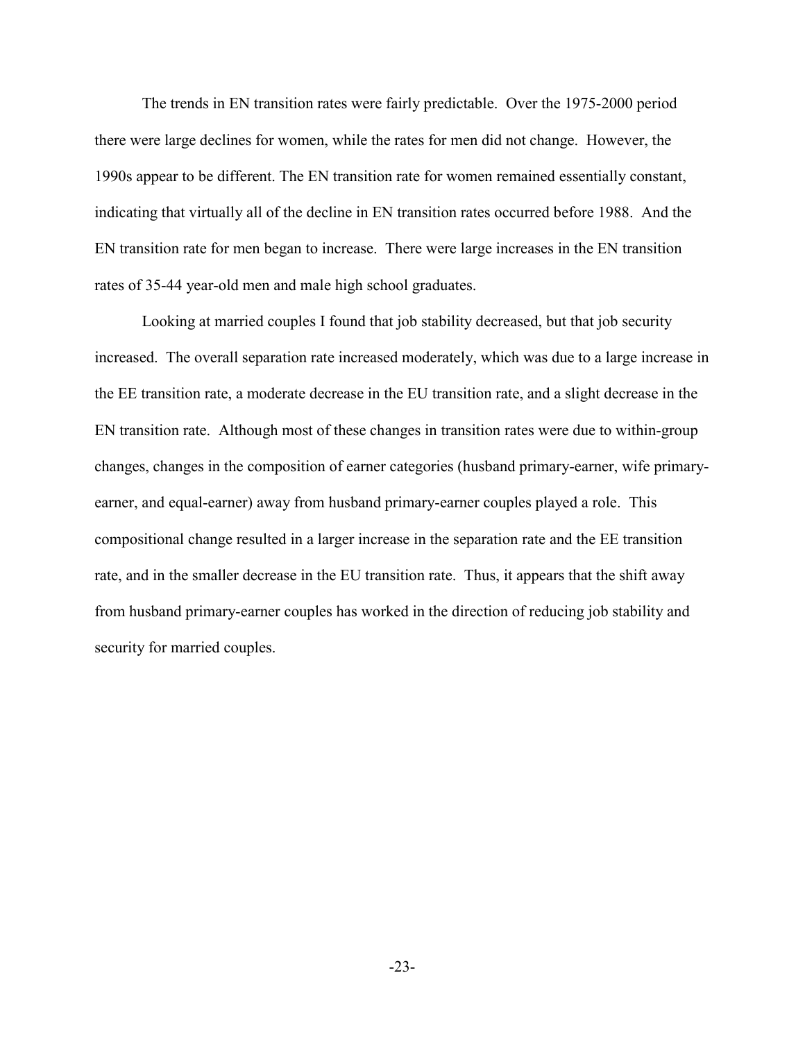The trends in EN transition rates were fairly predictable. Over the 1975-2000 period there were large declines for women, while the rates for men did not change. However, the 1990s appear to be different. The EN transition rate for women remained essentially constant, indicating that virtually all of the decline in EN transition rates occurred before 1988. And the EN transition rate for men began to increase. There were large increases in the EN transition rates of 35-44 year-old men and male high school graduates.

Looking at married couples I found that job stability decreased, but that job security increased. The overall separation rate increased moderately, which was due to a large increase in the EE transition rate, a moderate decrease in the EU transition rate, and a slight decrease in the EN transition rate. Although most of these changes in transition rates were due to within-group changes, changes in the composition of earner categories (husband primary-earner, wife primaryearner, and equal-earner) away from husband primary-earner couples played a role. This compositional change resulted in a larger increase in the separation rate and the EE transition rate, and in the smaller decrease in the EU transition rate. Thus, it appears that the shift away from husband primary-earner couples has worked in the direction of reducing job stability and security for married couples.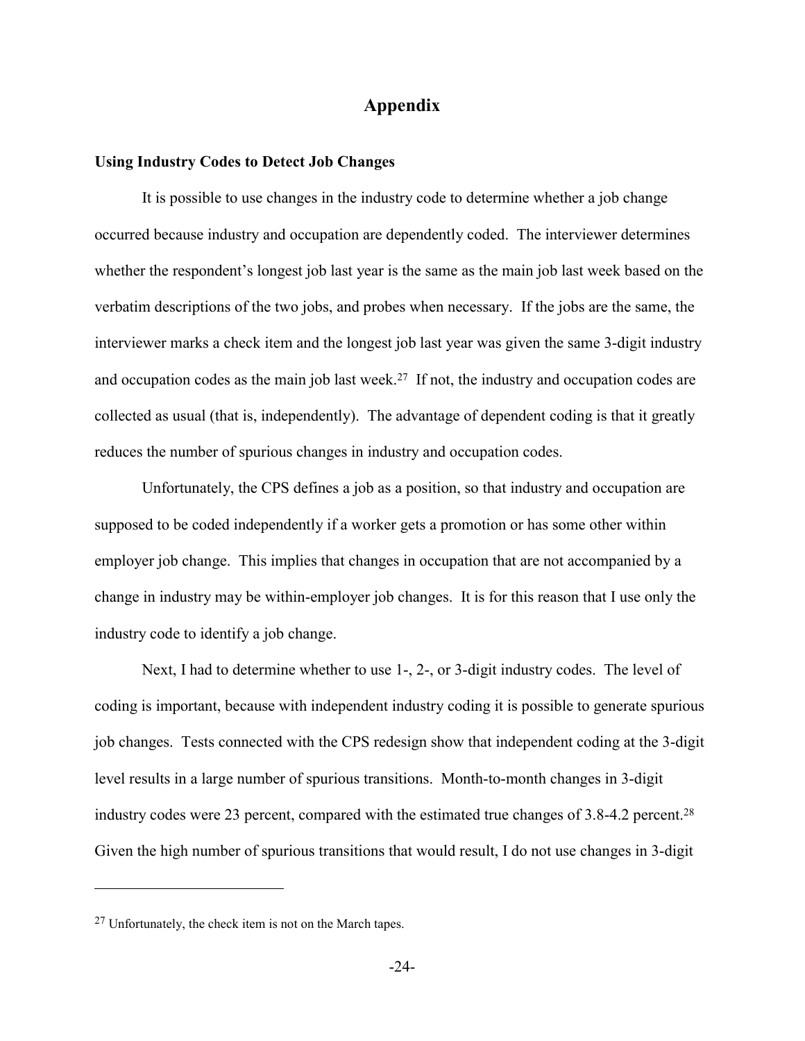## **Appendix**

#### **Using Industry Codes to Detect Job Changes**

It is possible to use changes in the industry code to determine whether a job change occurred because industry and occupation are dependently coded. The interviewer determines whether the respondent's longest job last year is the same as the main job last week based on the verbatim descriptions of the two jobs, and probes when necessary. If the jobs are the same, the interviewer marks a check item and the longest job last year was given the same 3-digit industry and occupation codes as the main job last week.27 If not, the industry and occupation codes are collected as usual (that is, independently). The advantage of dependent coding is that it greatly reduces the number of spurious changes in industry and occupation codes.

Unfortunately, the CPS defines a job as a position, so that industry and occupation are supposed to be coded independently if a worker gets a promotion or has some other within employer job change. This implies that changes in occupation that are not accompanied by a change in industry may be within-employer job changes. It is for this reason that I use only the industry code to identify a job change.

Next, I had to determine whether to use 1-, 2-, or 3-digit industry codes. The level of coding is important, because with independent industry coding it is possible to generate spurious job changes. Tests connected with the CPS redesign show that independent coding at the 3-digit level results in a large number of spurious transitions. Month-to-month changes in 3-digit industry codes were 23 percent, compared with the estimated true changes of 3.8-4.2 percent.28 Given the high number of spurious transitions that would result, I do not use changes in 3-digit

<sup>27</sup> Unfortunately, the check item is not on the March tapes.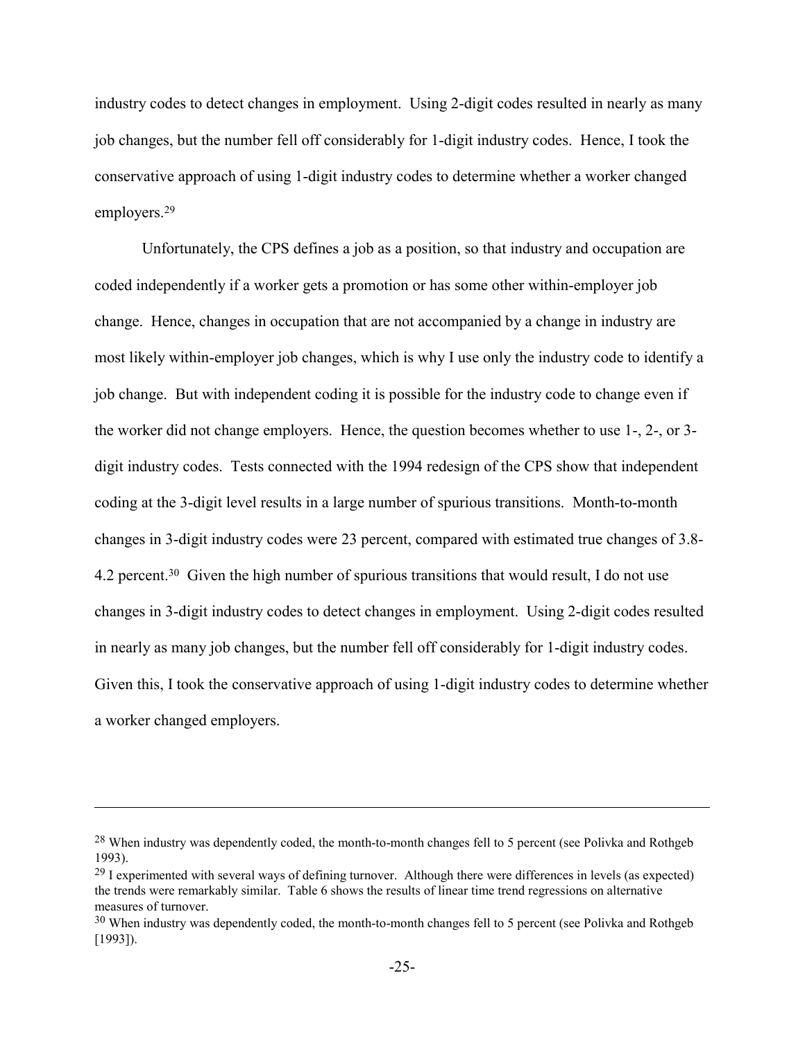industry codes to detect changes in employment. Using 2-digit codes resulted in nearly as many job changes, but the number fell off considerably for 1-digit industry codes. Hence, I took the conservative approach of using 1-digit industry codes to determine whether a worker changed employers.29

Unfortunately, the CPS defines a job as a position, so that industry and occupation are coded independently if a worker gets a promotion or has some other within-employer job change. Hence, changes in occupation that are not accompanied by a change in industry are most likely within-employer job changes, which is why I use only the industry code to identify a job change. But with independent coding it is possible for the industry code to change even if the worker did not change employers. Hence, the question becomes whether to use 1-, 2-, or 3 digit industry codes. Tests connected with the 1994 redesign of the CPS show that independent coding at the 3-digit level results in a large number of spurious transitions. Month-to-month changes in 3-digit industry codes were 23 percent, compared with estimated true changes of 3.8- 4.2 percent.30 Given the high number of spurious transitions that would result, I do not use changes in 3-digit industry codes to detect changes in employment. Using 2-digit codes resulted in nearly as many job changes, but the number fell off considerably for 1-digit industry codes. Given this, I took the conservative approach of using 1-digit industry codes to determine whether a worker changed employers.

1

<sup>&</sup>lt;sup>28</sup> When industry was dependently coded, the month-to-month changes fell to 5 percent (see Polivka and Rothgeb 1993).

<sup>&</sup>lt;sup>29</sup> I experimented with several ways of defining turnover. Although there were differences in levels (as expected) the trends were remarkably similar. Table 6 shows the results of linear time trend regressions on alternative measures of turnover.

<sup>&</sup>lt;sup>30</sup> When industry was dependently coded, the month-to-month changes fell to 5 percent (see Polivka and Rothgeb [1993]).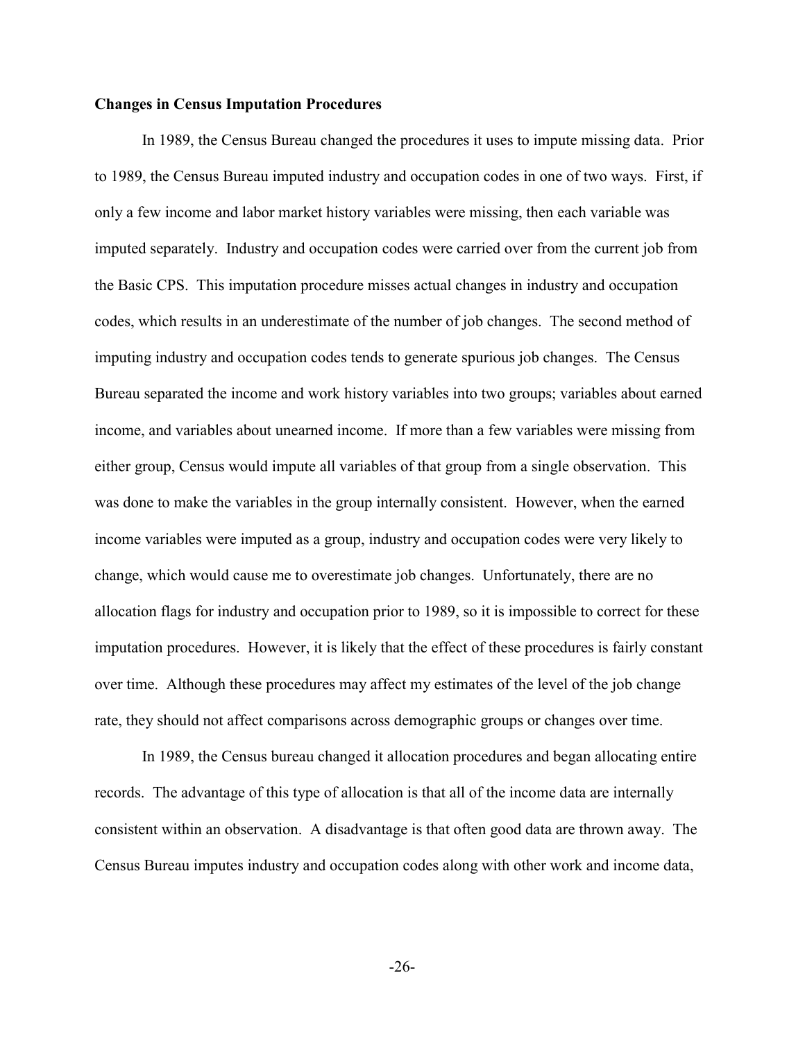#### **Changes in Census Imputation Procedures**

In 1989, the Census Bureau changed the procedures it uses to impute missing data. Prior to 1989, the Census Bureau imputed industry and occupation codes in one of two ways. First, if only a few income and labor market history variables were missing, then each variable was imputed separately. Industry and occupation codes were carried over from the current job from the Basic CPS. This imputation procedure misses actual changes in industry and occupation codes, which results in an underestimate of the number of job changes. The second method of imputing industry and occupation codes tends to generate spurious job changes. The Census Bureau separated the income and work history variables into two groups; variables about earned income, and variables about unearned income. If more than a few variables were missing from either group, Census would impute all variables of that group from a single observation. This was done to make the variables in the group internally consistent. However, when the earned income variables were imputed as a group, industry and occupation codes were very likely to change, which would cause me to overestimate job changes. Unfortunately, there are no allocation flags for industry and occupation prior to 1989, so it is impossible to correct for these imputation procedures. However, it is likely that the effect of these procedures is fairly constant over time. Although these procedures may affect my estimates of the level of the job change rate, they should not affect comparisons across demographic groups or changes over time.

In 1989, the Census bureau changed it allocation procedures and began allocating entire records. The advantage of this type of allocation is that all of the income data are internally consistent within an observation. A disadvantage is that often good data are thrown away. The Census Bureau imputes industry and occupation codes along with other work and income data,

-26-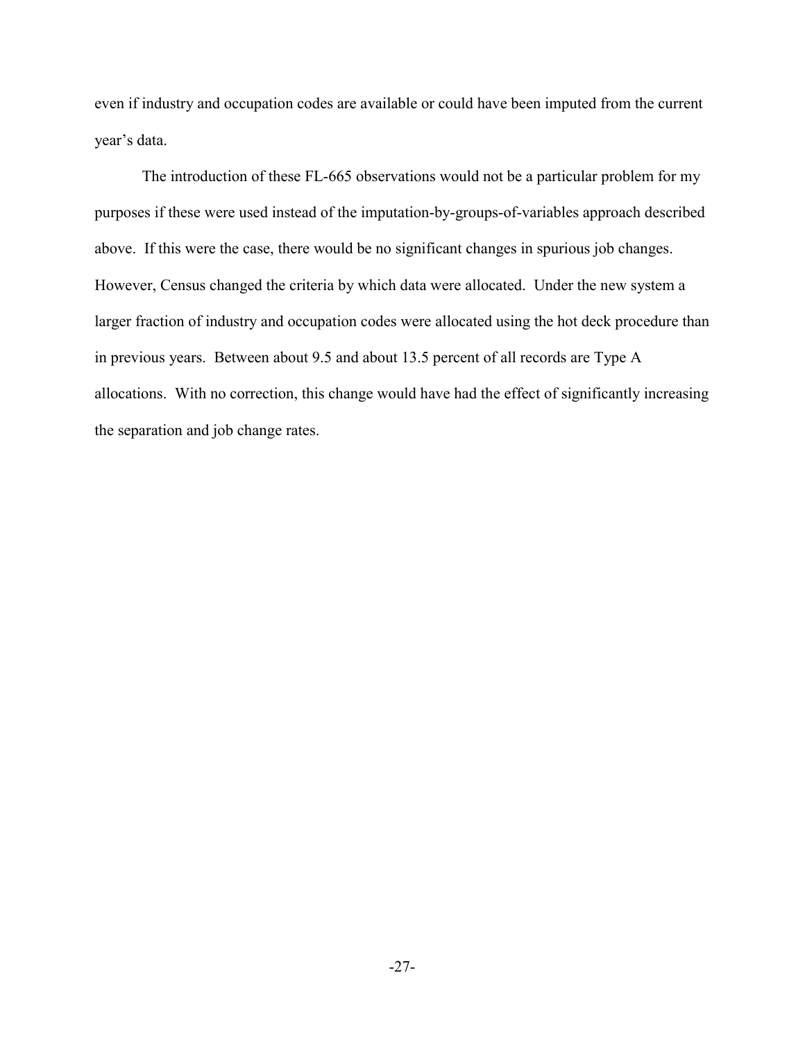even if industry and occupation codes are available or could have been imputed from the current year's data.

The introduction of these FL-665 observations would not be a particular problem for my purposes if these were used instead of the imputation-by-groups-of-variables approach described above. If this were the case, there would be no significant changes in spurious job changes. However, Census changed the criteria by which data were allocated. Under the new system a larger fraction of industry and occupation codes were allocated using the hot deck procedure than in previous years. Between about 9.5 and about 13.5 percent of all records are Type A allocations. With no correction, this change would have had the effect of significantly increasing the separation and job change rates.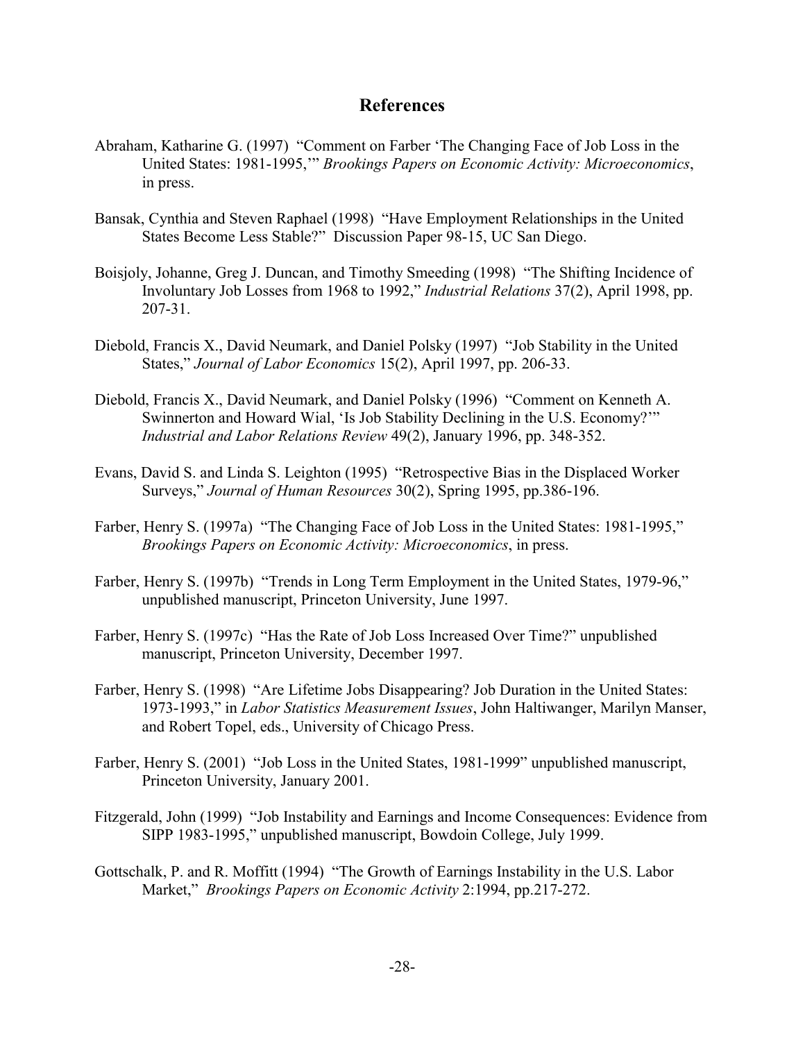## **References**

- Abraham, Katharine G. (1997) "Comment on Farber 'The Changing Face of Job Loss in the United States: 1981-1995,'" *Brookings Papers on Economic Activity: Microeconomics*, in press.
- Bansak, Cynthia and Steven Raphael (1998) "Have Employment Relationships in the United States Become Less Stable?" Discussion Paper 98-15, UC San Diego.
- Boisjoly, Johanne, Greg J. Duncan, and Timothy Smeeding (1998) "The Shifting Incidence of Involuntary Job Losses from 1968 to 1992," *Industrial Relations* 37(2), April 1998, pp. 207-31.
- Diebold, Francis X., David Neumark, and Daniel Polsky (1997) "Job Stability in the United States," *Journal of Labor Economics* 15(2), April 1997, pp. 206-33.
- Diebold, Francis X., David Neumark, and Daniel Polsky (1996) "Comment on Kenneth A. Swinnerton and Howard Wial, 'Is Job Stability Declining in the U.S. Economy?'" *Industrial and Labor Relations Review* 49(2), January 1996, pp. 348-352.
- Evans, David S. and Linda S. Leighton (1995) "Retrospective Bias in the Displaced Worker Surveys," *Journal of Human Resources* 30(2), Spring 1995, pp.386-196.
- Farber, Henry S. (1997a) "The Changing Face of Job Loss in the United States: 1981-1995," *Brookings Papers on Economic Activity: Microeconomics*, in press.
- Farber, Henry S. (1997b) "Trends in Long Term Employment in the United States, 1979-96," unpublished manuscript, Princeton University, June 1997.
- Farber, Henry S. (1997c) "Has the Rate of Job Loss Increased Over Time?" unpublished manuscript, Princeton University, December 1997.
- Farber, Henry S. (1998) "Are Lifetime Jobs Disappearing? Job Duration in the United States: 1973-1993," in *Labor Statistics Measurement Issues*, John Haltiwanger, Marilyn Manser, and Robert Topel, eds., University of Chicago Press.
- Farber, Henry S. (2001) "Job Loss in the United States, 1981-1999" unpublished manuscript, Princeton University, January 2001.
- Fitzgerald, John (1999) "Job Instability and Earnings and Income Consequences: Evidence from SIPP 1983-1995," unpublished manuscript, Bowdoin College, July 1999.
- Gottschalk, P. and R. Moffitt (1994) "The Growth of Earnings Instability in the U.S. Labor Market," *Brookings Papers on Economic Activity* 2:1994, pp.217-272.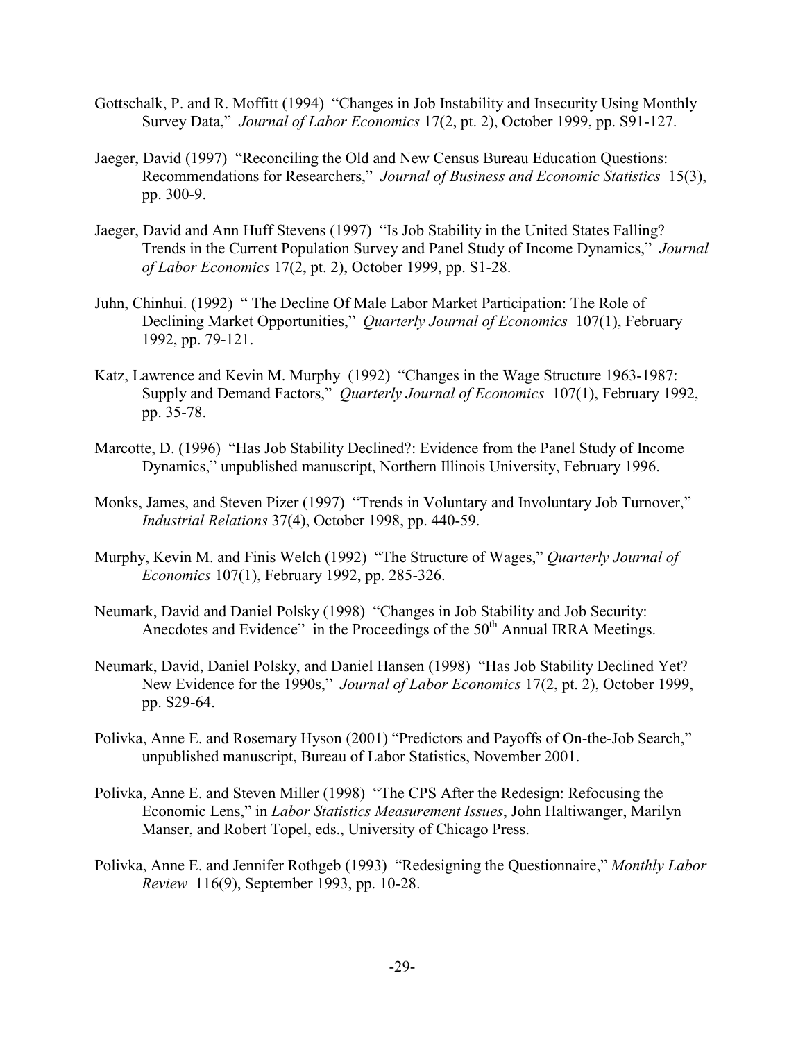- Gottschalk, P. and R. Moffitt (1994) "Changes in Job Instability and Insecurity Using Monthly Survey Data," *Journal of Labor Economics* 17(2, pt. 2), October 1999, pp. S91-127.
- Jaeger, David (1997) "Reconciling the Old and New Census Bureau Education Questions: Recommendations for Researchers," *Journal of Business and Economic Statistics* 15(3), pp. 300-9.
- Jaeger, David and Ann Huff Stevens (1997) "Is Job Stability in the United States Falling? Trends in the Current Population Survey and Panel Study of Income Dynamics," *Journal of Labor Economics* 17(2, pt. 2), October 1999, pp. S1-28.
- Juhn, Chinhui. (1992) " The Decline Of Male Labor Market Participation: The Role of Declining Market Opportunities," *Quarterly Journal of Economics* 107(1), February 1992, pp. 79-121.
- Katz, Lawrence and Kevin M. Murphy (1992) "Changes in the Wage Structure 1963-1987: Supply and Demand Factors," *Quarterly Journal of Economics* 107(1), February 1992, pp. 35-78.
- Marcotte, D. (1996) "Has Job Stability Declined?: Evidence from the Panel Study of Income Dynamics," unpublished manuscript, Northern Illinois University, February 1996.
- Monks, James, and Steven Pizer (1997) "Trends in Voluntary and Involuntary Job Turnover," *Industrial Relations* 37(4), October 1998, pp. 440-59.
- Murphy, Kevin M. and Finis Welch (1992) "The Structure of Wages," *Quarterly Journal of Economics* 107(1), February 1992, pp. 285-326.
- Neumark, David and Daniel Polsky (1998) "Changes in Job Stability and Job Security: Anecdotes and Evidence" in the Proceedings of the 50<sup>th</sup> Annual IRRA Meetings.
- Neumark, David, Daniel Polsky, and Daniel Hansen (1998) "Has Job Stability Declined Yet? New Evidence for the 1990s," *Journal of Labor Economics* 17(2, pt. 2), October 1999, pp. S29-64.
- Polivka, Anne E. and Rosemary Hyson (2001) "Predictors and Payoffs of On-the-Job Search," unpublished manuscript, Bureau of Labor Statistics, November 2001.
- Polivka, Anne E. and Steven Miller (1998) "The CPS After the Redesign: Refocusing the Economic Lens," in *Labor Statistics Measurement Issues*, John Haltiwanger, Marilyn Manser, and Robert Topel, eds., University of Chicago Press.
- Polivka, Anne E. and Jennifer Rothgeb (1993) "Redesigning the Questionnaire," *Monthly Labor Review* 116(9), September 1993, pp. 10-28.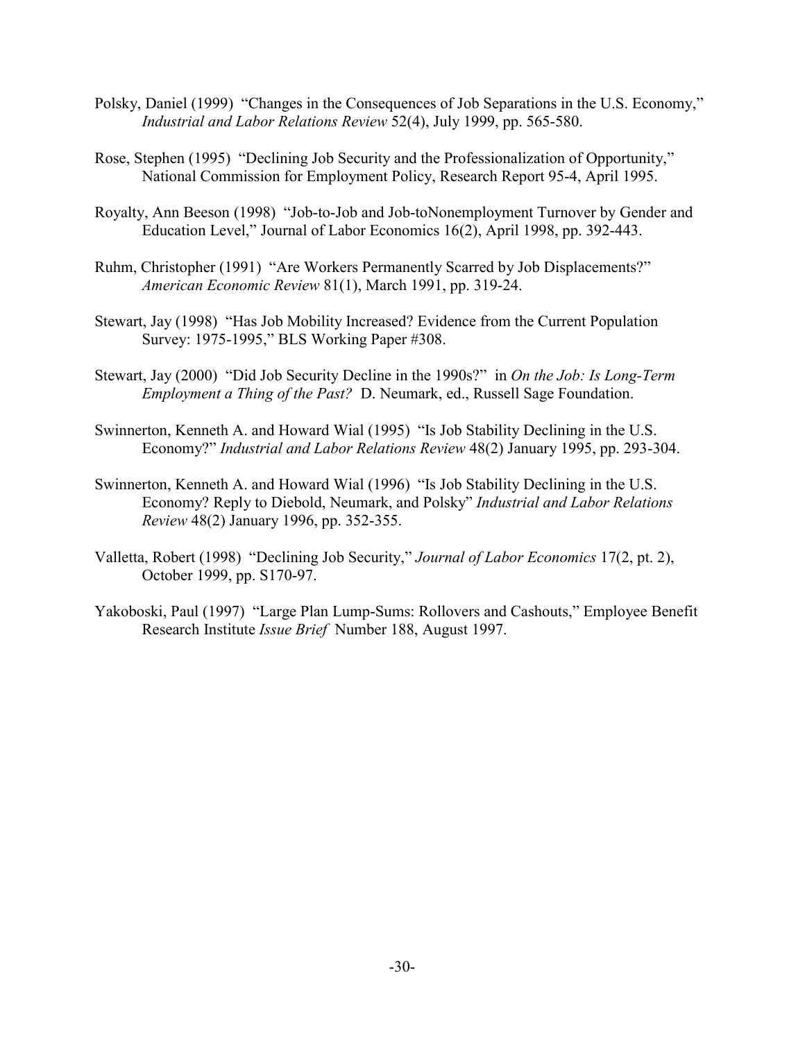- Polsky, Daniel (1999) "Changes in the Consequences of Job Separations in the U.S. Economy," *Industrial and Labor Relations Review* 52(4), July 1999, pp. 565-580.
- Rose, Stephen (1995) "Declining Job Security and the Professionalization of Opportunity," National Commission for Employment Policy, Research Report 95-4, April 1995.
- Royalty, Ann Beeson (1998) "Job-to-Job and Job-toNonemployment Turnover by Gender and Education Level," Journal of Labor Economics 16(2), April 1998, pp. 392-443.
- Ruhm, Christopher (1991) "Are Workers Permanently Scarred by Job Displacements?" *American Economic Review* 81(1), March 1991, pp. 319-24.
- Stewart, Jay (1998) "Has Job Mobility Increased? Evidence from the Current Population Survey: 1975-1995," BLS Working Paper #308.
- Stewart, Jay (2000) "Did Job Security Decline in the 1990s?" in *On the Job: Is Long-Term Employment a Thing of the Past?* D. Neumark, ed., Russell Sage Foundation.
- Swinnerton, Kenneth A. and Howard Wial (1995) "Is Job Stability Declining in the U.S. Economy?" *Industrial and Labor Relations Review* 48(2) January 1995, pp. 293-304.
- Swinnerton, Kenneth A. and Howard Wial (1996) "Is Job Stability Declining in the U.S. Economy? Reply to Diebold, Neumark, and Polsky" *Industrial and Labor Relations Review* 48(2) January 1996, pp. 352-355.
- Valletta, Robert (1998) "Declining Job Security," *Journal of Labor Economics* 17(2, pt. 2), October 1999, pp. S170-97.
- Yakoboski, Paul (1997) "Large Plan Lump-Sums: Rollovers and Cashouts," Employee Benefit Research Institute *Issue Brief* Number 188, August 1997.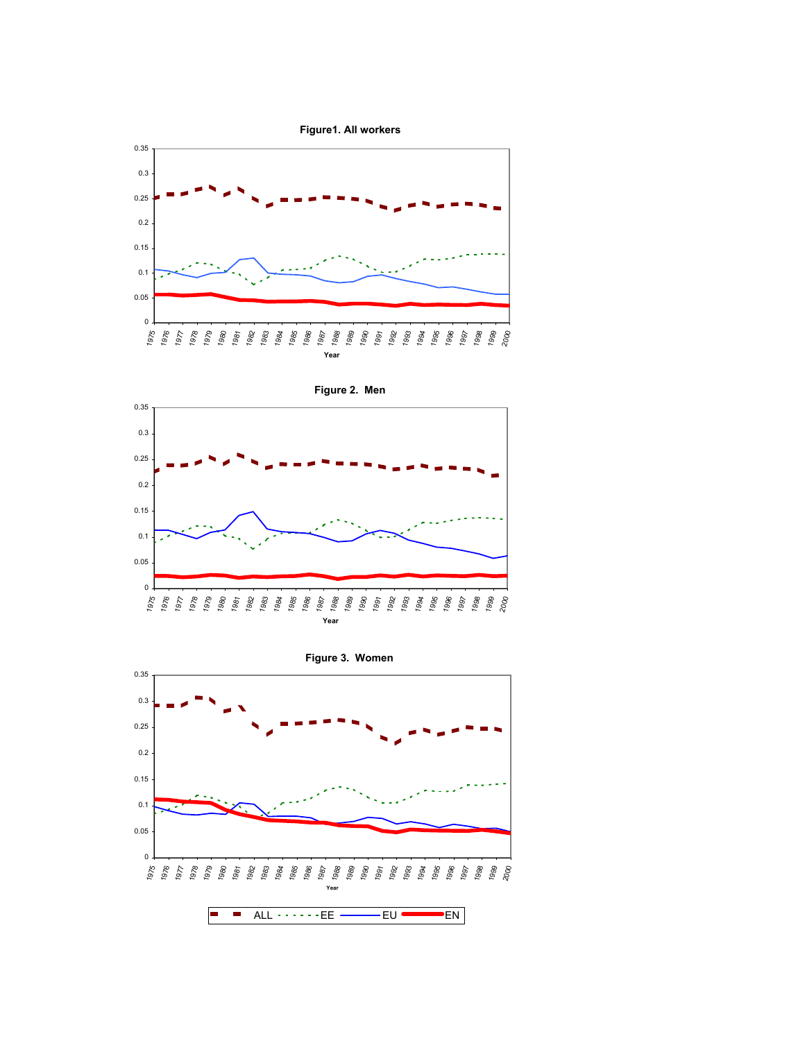



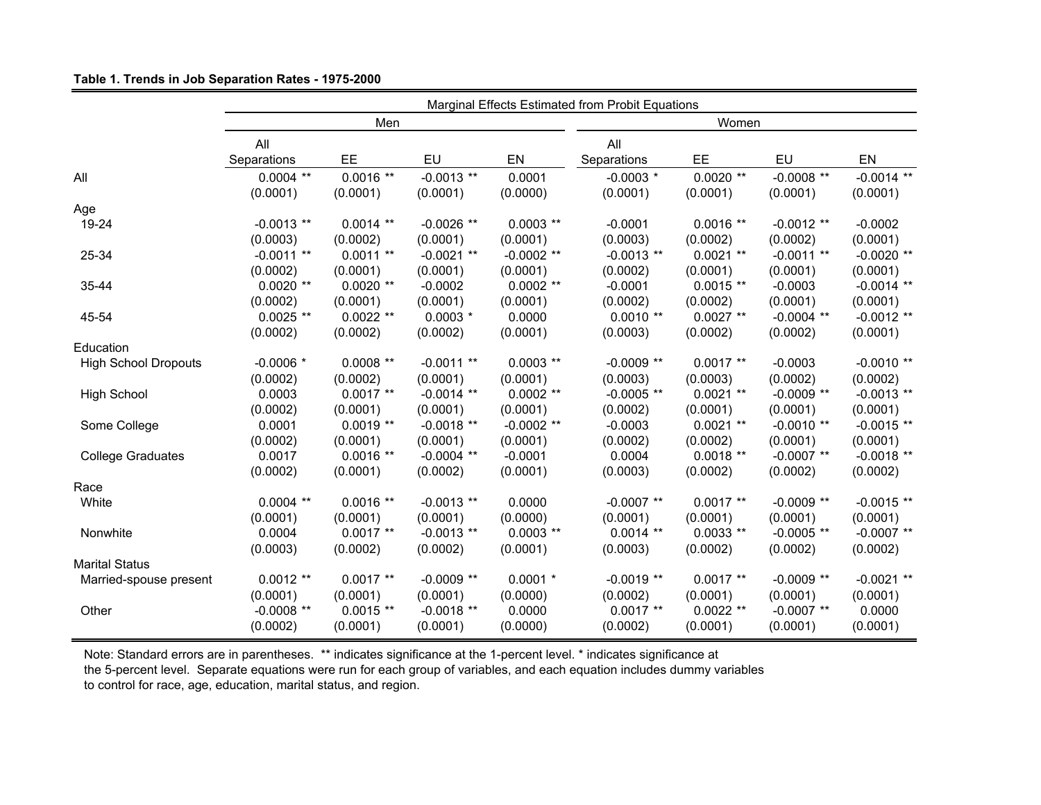#### **Table 1. Trends in Job Separation Rates - 1975-2000**

|                             |              |             | Marginal Effects Estimated from Probit Equations |              |              |             |              |              |  |  |
|-----------------------------|--------------|-------------|--------------------------------------------------|--------------|--------------|-------------|--------------|--------------|--|--|
|                             |              | Men         |                                                  |              | Women        |             |              |              |  |  |
|                             | All          |             |                                                  |              | All          |             |              |              |  |  |
|                             | Separations  | EE          | EU                                               | EN           | Separations  | EE          | EU           | EN           |  |  |
| All                         | $0.0004$ **  | $0.0016**$  | $-0.0013$ **                                     | 0.0001       | $-0.0003$ *  | $0.0020**$  | $-0.0008$ ** | $-0.0014$ ** |  |  |
|                             | (0.0001)     | (0.0001)    | (0.0001)                                         | (0.0000)     | (0.0001)     | (0.0001)    | (0.0001)     | (0.0001)     |  |  |
| Age                         |              |             |                                                  |              |              |             |              |              |  |  |
| 19-24                       | $-0.0013$ ** | $0.0014$ ** | $-0.0026$ **                                     | $0.0003$ **  | $-0.0001$    | $0.0016**$  | $-0.0012**$  | $-0.0002$    |  |  |
|                             | (0.0003)     | (0.0002)    | (0.0001)                                         | (0.0001)     | (0.0003)     | (0.0002)    | (0.0002)     | (0.0001)     |  |  |
| 25-34                       | $-0.0011**$  | $0.0011**$  | $-0.0021$ **                                     | $-0.0002$ ** | $-0.0013$ ** | $0.0021**$  | $-0.0011**$  | $-0.0020**$  |  |  |
|                             | (0.0002)     | (0.0001)    | (0.0001)                                         | (0.0001)     | (0.0002)     | (0.0001)    | (0.0001)     | (0.0001)     |  |  |
| 35-44                       | $0.0020**$   | $0.0020$ ** | $-0.0002$                                        | $0.0002$ **  | $-0.0001$    | $0.0015**$  | $-0.0003$    | $-0.0014$ ** |  |  |
|                             | (0.0002)     | (0.0001)    | (0.0001)                                         | (0.0001)     | (0.0002)     | (0.0002)    | (0.0001)     | (0.0001)     |  |  |
| 45-54                       | $0.0025$ **  | $0.0022**$  | $0.0003$ *                                       | 0.0000       | $0.0010**$   | $0.0027**$  | $-0.0004$ ** | $-0.0012**$  |  |  |
|                             | (0.0002)     | (0.0002)    | (0.0002)                                         | (0.0001)     | (0.0003)     | (0.0002)    | (0.0002)     | (0.0001)     |  |  |
| Education                   |              |             |                                                  |              |              |             |              |              |  |  |
| <b>High School Dropouts</b> | $-0.0006$ *  | $0.0008$ ** | $-0.0011$ **                                     | $0.0003$ **  | $-0.0009$ ** | $0.0017**$  | $-0.0003$    | $-0.0010**$  |  |  |
|                             | (0.0002)     | (0.0002)    | (0.0001)                                         | (0.0001)     | (0.0003)     | (0.0003)    | (0.0002)     | (0.0002)     |  |  |
| <b>High School</b>          | 0.0003       | $0.0017**$  | $-0.0014$ **                                     | $0.0002$ **  | $-0.0005$ ** | $0.0021**$  | $-0.0009$ ** | $-0.0013$ ** |  |  |
|                             | (0.0002)     | (0.0001)    | (0.0001)                                         | (0.0001)     | (0.0002)     | (0.0001)    | (0.0001)     | (0.0001)     |  |  |
| Some College                | 0.0001       | $0.0019**$  | $-0.0018**$                                      | $-0.0002$ ** | $-0.0003$    | $0.0021$ ** | $-0.0010**$  | $-0.0015**$  |  |  |
|                             | (0.0002)     | (0.0001)    | (0.0001)                                         | (0.0001)     | (0.0002)     | (0.0002)    | (0.0001)     | (0.0001)     |  |  |
| <b>College Graduates</b>    | 0.0017       | $0.0016$ ** | $-0.0004$ **                                     | $-0.0001$    | 0.0004       | $0.0018**$  | $-0.0007$ ** | $-0.0018**$  |  |  |
|                             | (0.0002)     | (0.0001)    | (0.0002)                                         | (0.0001)     | (0.0003)     | (0.0002)    | (0.0002)     | (0.0002)     |  |  |
| Race                        |              |             |                                                  |              |              |             |              |              |  |  |
| White                       | $0.0004$ **  | $0.0016$ ** | $-0.0013$ **                                     | 0.0000       | $-0.0007$ ** | $0.0017**$  | $-0.0009$ ** | $-0.0015**$  |  |  |
|                             | (0.0001)     | (0.0001)    | (0.0001)                                         | (0.0000)     | (0.0001)     | (0.0001)    | (0.0001)     | (0.0001)     |  |  |
| Nonwhite                    | 0.0004       | $0.0017**$  | $-0.0013$ **                                     | $0.0003$ **  | $0.0014$ **  | $0.0033**$  | $-0.0005$ ** | $-0.0007$ ** |  |  |
|                             | (0.0003)     | (0.0002)    | (0.0002)                                         | (0.0001)     | (0.0003)     | (0.0002)    | (0.0002)     | (0.0002)     |  |  |
| <b>Marital Status</b>       |              |             |                                                  |              |              |             |              |              |  |  |
| Married-spouse present      | $0.0012**$   | $0.0017**$  | $-0.0009$ **                                     | $0.0001$ *   | $-0.0019$ ** | $0.0017**$  | $-0.0009$ ** | $-0.0021**$  |  |  |
|                             | (0.0001)     | (0.0001)    | (0.0001)                                         | (0.0000)     | (0.0002)     | (0.0001)    | (0.0001)     | (0.0001)     |  |  |
| Other                       | $-0.0008$ ** | $0.0015$ ** | $-0.0018$ **                                     | 0.0000       | $0.0017**$   | $0.0022**$  | $-0.0007$ ** | 0.0000       |  |  |
|                             | (0.0002)     | (0.0001)    | (0.0001)                                         | (0.0000)     | (0.0002)     | (0.0001)    | (0.0001)     | (0.0001)     |  |  |

Note: Standard errors are in parentheses. \*\* indicates significance at the 1-percent level. \* indicates significance at the 5-percent level. Separate equations were run for each group of variables, and each equation includes dummy variables to control for race, age, education, marital status, and region.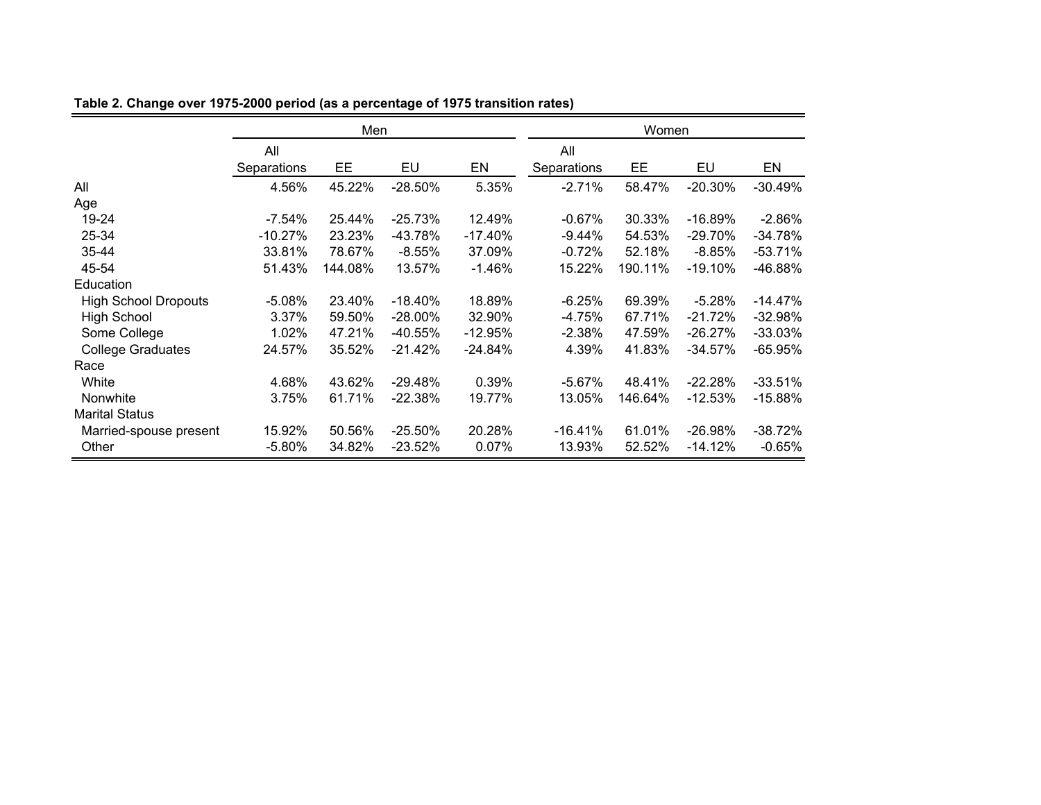|                             | Men         |         |            |           | Women       |         |            |           |
|-----------------------------|-------------|---------|------------|-----------|-------------|---------|------------|-----------|
|                             | All         |         |            |           | All         |         |            |           |
|                             | Separations | EE      | EU         | EN        | Separations | EE      | EU         | EN        |
| All                         | 4.56%       | 45.22%  | $-28.50%$  | 5.35%     | $-2.71%$    | 58.47%  | $-20.30\%$ | $-30.49%$ |
| Age                         |             |         |            |           |             |         |            |           |
| 19-24                       | $-7.54\%$   | 25.44%  | $-25.73%$  | 12.49%    | $-0.67%$    | 30.33%  | $-16.89%$  | $-2.86%$  |
| 25-34                       | $-10.27%$   | 23.23%  | -43.78%    | $-17.40%$ | $-9.44%$    | 54.53%  | $-29.70%$  | $-34.78%$ |
| 35-44                       | 33.81%      | 78.67%  | $-8.55%$   | 37.09%    | $-0.72%$    | 52.18%  | $-8.85%$   | $-53.71%$ |
| 45-54                       | 51.43%      | 144.08% | 13.57%     | $-1.46%$  | 15.22%      | 190.11% | $-19.10%$  | -46.88%   |
| Education                   |             |         |            |           |             |         |            |           |
| <b>High School Dropouts</b> | $-5.08%$    | 23.40%  | $-18.40%$  | 18.89%    | $-6.25%$    | 69.39%  | $-5.28%$   | $-14.47%$ |
| <b>High School</b>          | 3.37%       | 59.50%  | $-28.00\%$ | 32.90%    | $-4.75%$    | 67.71%  | $-21.72%$  | $-32.98%$ |
| Some College                | 1.02%       | 47.21%  | $-40.55%$  | $-12.95%$ | $-2.38%$    | 47.59%  | $-26.27%$  | $-33.03%$ |
| <b>College Graduates</b>    | 24.57%      | 35.52%  | $-21.42%$  | $-24.84%$ | 4.39%       | 41.83%  | -34.57%    | $-65.95%$ |
| Race                        |             |         |            |           |             |         |            |           |
| White                       | 4.68%       | 43.62%  | $-29.48%$  | 0.39%     | $-5.67%$    | 48.41%  | $-22.28%$  | $-33.51%$ |
| <b>Nonwhite</b>             | 3.75%       | 61.71%  | $-22.38%$  | 19.77%    | 13.05%      | 146.64% | $-12.53%$  | $-15.88%$ |
| <b>Marital Status</b>       |             |         |            |           |             |         |            |           |
| Married-spouse present      | 15.92%      | 50.56%  | $-25.50%$  | 20.28%    | $-16.41%$   | 61.01%  | $-26.98%$  | $-38.72%$ |
| Other                       | $-5.80\%$   | 34.82%  | $-23.52%$  | 0.07%     | 13.93%      | 52.52%  | $-14.12%$  | $-0.65%$  |

**Table 2. Change over 1975-2000 period (as a percentage of 1975 transition rates)**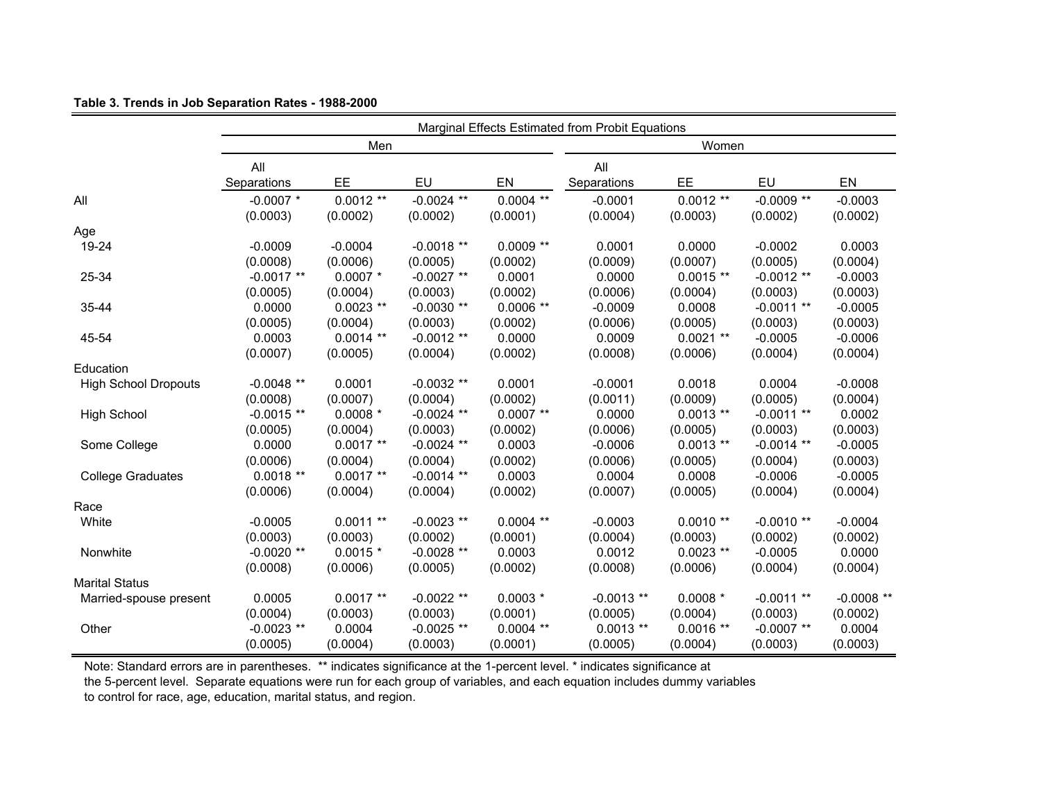#### **Table 3. Trends in Job Separation Rates - 1988-2000**

|                             |              |             |              |             | Marginal Effects Estimated from Probit Equations |             |              |             |  |
|-----------------------------|--------------|-------------|--------------|-------------|--------------------------------------------------|-------------|--------------|-------------|--|
|                             |              | Men         |              |             | Women                                            |             |              |             |  |
|                             | All          |             |              |             | All                                              |             |              |             |  |
|                             | Separations  | EE          | EU           | EN          | Separations                                      | EE          | EU           | EN          |  |
| All                         | $-0.0007$ *  | $0.0012**$  | $-0.0024$ ** | $0.0004$ ** | $-0.0001$                                        | $0.0012**$  | $-0.0009$ ** | $-0.0003$   |  |
|                             | (0.0003)     | (0.0002)    | (0.0002)     | (0.0001)    | (0.0004)                                         | (0.0003)    | (0.0002)     | (0.0002)    |  |
| Age                         |              |             |              |             |                                                  |             |              |             |  |
| 19-24                       | $-0.0009$    | $-0.0004$   | $-0.0018**$  | $0.0009$ ** | 0.0001                                           | 0.0000      | $-0.0002$    | 0.0003      |  |
|                             | (0.0008)     | (0.0006)    | (0.0005)     | (0.0002)    | (0.0009)                                         | (0.0007)    | (0.0005)     | (0.0004)    |  |
| 25-34                       | $-0.0017**$  | $0.0007$ *  | $-0.0027$ ** | 0.0001      | 0.0000                                           | $0.0015**$  | $-0.0012**$  | $-0.0003$   |  |
|                             | (0.0005)     | (0.0004)    | (0.0003)     | (0.0002)    | (0.0006)                                         | (0.0004)    | (0.0003)     | (0.0003)    |  |
| 35-44                       | 0.0000       | $0.0023$ ** | $-0.0030**$  | $0.0006$ ** | $-0.0009$                                        | 0.0008      | $-0.0011**$  | $-0.0005$   |  |
|                             | (0.0005)     | (0.0004)    | (0.0003)     | (0.0002)    | (0.0006)                                         | (0.0005)    | (0.0003)     | (0.0003)    |  |
| 45-54                       | 0.0003       | $0.0014$ ** | $-0.0012$ ** | 0.0000      | 0.0009                                           | $0.0021$ ** | $-0.0005$    | $-0.0006$   |  |
|                             | (0.0007)     | (0.0005)    | (0.0004)     | (0.0002)    | (0.0008)                                         | (0.0006)    | (0.0004)     | (0.0004)    |  |
| Education                   |              |             |              |             |                                                  |             |              |             |  |
| <b>High School Dropouts</b> | $-0.0048**$  | 0.0001      | $-0.0032**$  | 0.0001      | $-0.0001$                                        | 0.0018      | 0.0004       | $-0.0008$   |  |
|                             | (0.0008)     | (0.0007)    | (0.0004)     | (0.0002)    | (0.0011)                                         | (0.0009)    | (0.0005)     | (0.0004)    |  |
| <b>High School</b>          | $-0.0015$ ** | $0.0008$ *  | $-0.0024$ ** | $0.0007$ ** | 0.0000                                           | $0.0013$ ** | $-0.0011**$  | 0.0002      |  |
|                             | (0.0005)     | (0.0004)    | (0.0003)     | (0.0002)    | (0.0006)                                         | (0.0005)    | (0.0003)     | (0.0003)    |  |
| Some College                | 0.0000       | $0.0017**$  | $-0.0024$ ** | 0.0003      | $-0.0006$                                        | $0.0013**$  | $-0.0014$ ** | $-0.0005$   |  |
|                             | (0.0006)     | (0.0004)    | (0.0004)     | (0.0002)    | (0.0006)                                         | (0.0005)    | (0.0004)     | (0.0003)    |  |
| <b>College Graduates</b>    | $0.0018**$   | $0.0017**$  | $-0.0014$ ** | 0.0003      | 0.0004                                           | 0.0008      | $-0.0006$    | $-0.0005$   |  |
|                             | (0.0006)     | (0.0004)    | (0.0004)     | (0.0002)    | (0.0007)                                         | (0.0005)    | (0.0004)     | (0.0004)    |  |
| Race                        |              |             |              |             |                                                  |             |              |             |  |
| White                       | $-0.0005$    | $0.0011**$  | $-0.0023$ ** | $0.0004$ ** | $-0.0003$                                        | $0.0010**$  | $-0.0010**$  | $-0.0004$   |  |
|                             | (0.0003)     | (0.0003)    | (0.0002)     | (0.0001)    | (0.0004)                                         | (0.0003)    | (0.0002)     | (0.0002)    |  |
| Nonwhite                    | $-0.0020$ ** | $0.0015$ *  | $-0.0028$ ** | 0.0003      | 0.0012                                           | $0.0023$ ** | $-0.0005$    | 0.0000      |  |
|                             | (0.0008)     | (0.0006)    | (0.0005)     | (0.0002)    | (0.0008)                                         | (0.0006)    | (0.0004)     | (0.0004)    |  |
| <b>Marital Status</b>       |              |             |              |             |                                                  |             |              |             |  |
| Married-spouse present      | 0.0005       | $0.0017**$  | $-0.0022**$  | $0.0003$ *  | $-0.0013$ **                                     | $0.0008$ *  | $-0.0011**$  | $-0.0008**$ |  |
|                             | (0.0004)     | (0.0003)    | (0.0003)     | (0.0001)    | (0.0005)                                         | (0.0004)    | (0.0003)     | (0.0002)    |  |
| Other                       | $-0.0023$ ** | 0.0004      | $-0.0025$ ** | $0.0004$ ** | $0.0013$ **                                      | $0.0016**$  | $-0.0007$ ** | 0.0004      |  |
|                             | (0.0005)     | (0.0004)    | (0.0003)     | (0.0001)    | (0.0005)                                         | (0.0004)    | (0.0003)     | (0.0003)    |  |

Note: Standard errors are in parentheses. \*\* indicates significance at the 1-percent level. \* indicates significance at the 5-percent level. Separate equations were run for each group of variables, and each equation includes dummy variables

to control for race, age, education, marital status, and region.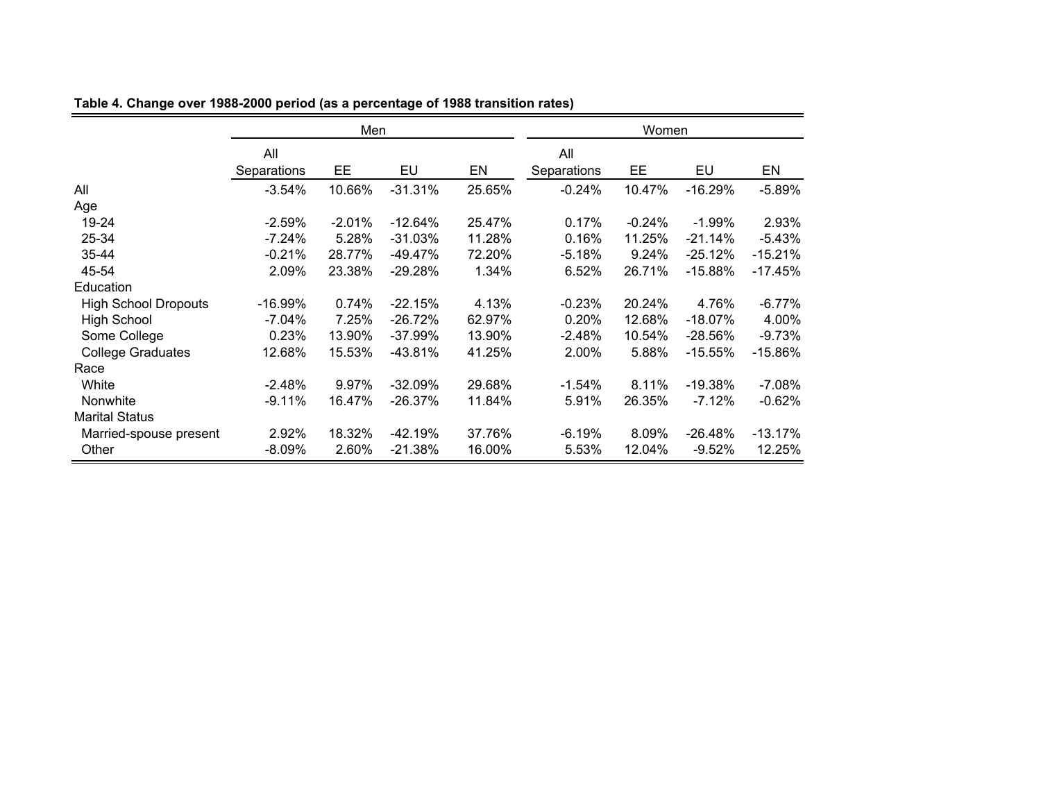|                             | Men                |          |           |        | Women              |          |           |           |
|-----------------------------|--------------------|----------|-----------|--------|--------------------|----------|-----------|-----------|
|                             | All<br>Separations | EE       | EU        | EN     | All<br>Separations | EE       | EU        | EN        |
|                             |                    |          |           |        |                    |          |           |           |
| All                         | $-3.54%$           | 10.66%   | $-31.31%$ | 25.65% | $-0.24%$           | 10.47%   | $-16.29%$ | $-5.89%$  |
| Age                         |                    |          |           |        |                    |          |           |           |
| 19-24                       | $-2.59%$           | $-2.01%$ | $-12.64%$ | 25.47% | 0.17%              | $-0.24%$ | $-1.99%$  | 2.93%     |
| 25-34                       | $-7.24%$           | 5.28%    | $-31.03%$ | 11.28% | 0.16%              | 11.25%   | $-21.14%$ | $-5.43%$  |
| $35 - 44$                   | $-0.21%$           | 28.77%   | $-49.47%$ | 72.20% | $-5.18%$           | 9.24%    | $-25.12%$ | $-15.21%$ |
| 45-54                       | 2.09%              | 23.38%   | $-29.28%$ | 1.34%  | 6.52%              | 26.71%   | $-15.88%$ | $-17.45%$ |
| Education                   |                    |          |           |        |                    |          |           |           |
| <b>High School Dropouts</b> | $-16.99%$          | 0.74%    | $-22.15%$ | 4.13%  | $-0.23%$           | 20.24%   | 4.76%     | $-6.77%$  |
| <b>High School</b>          | $-7.04%$           | 7.25%    | $-26.72%$ | 62.97% | 0.20%              | 12.68%   | $-18.07%$ | 4.00%     |
| Some College                | 0.23%              | 13.90%   | $-37.99%$ | 13.90% | $-2.48%$           | 10.54%   | $-28.56%$ | $-9.73%$  |
| <b>College Graduates</b>    | 12.68%             | 15.53%   | $-43.81%$ | 41.25% | 2.00%              | 5.88%    | $-15.55%$ | $-15.86%$ |
| Race                        |                    |          |           |        |                    |          |           |           |
| White                       | $-2.48%$           | 9.97%    | $-32.09%$ | 29.68% | $-1.54%$           | 8.11%    | $-19.38%$ | $-7.08%$  |
| <b>Nonwhite</b>             | $-9.11%$           | 16.47%   | $-26.37%$ | 11.84% | 5.91%              | 26.35%   | $-7.12%$  | $-0.62%$  |
| <b>Marital Status</b>       |                    |          |           |        |                    |          |           |           |
| Married-spouse present      | 2.92%              | 18.32%   | $-42.19%$ | 37.76% | $-6.19%$           | 8.09%    | $-26.48%$ | $-13.17%$ |
| Other                       | $-8.09\%$          | 2.60%    | $-21.38%$ | 16.00% | 5.53%              | 12.04%   | $-9.52%$  | 12.25%    |

**Table 4. Change over 1988-2000 period (as a percentage of 1988 transition rates)**